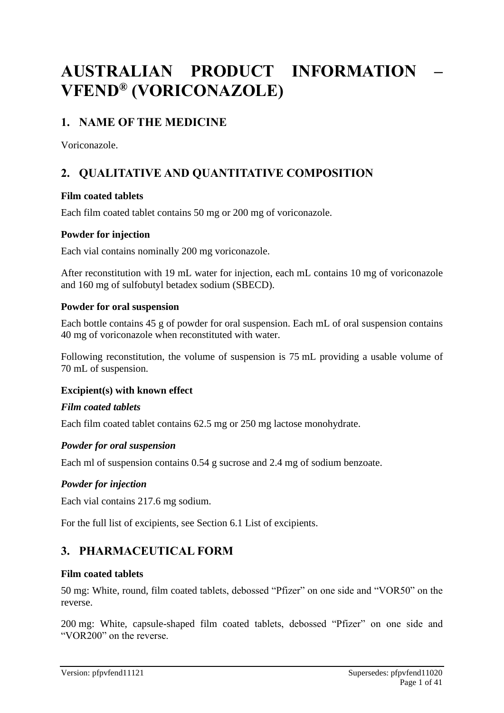# **AUSTRALIAN PRODUCT INFORMATION – VFEND® (VORICONAZOLE)**

# **1. NAME OF THE MEDICINE**

Voriconazole.

# **2. QUALITATIVE AND QUANTITATIVE COMPOSITION**

# **Film coated tablets**

Each film coated tablet contains 50 mg or 200 mg of voriconazole.

# **Powder for injection**

Each vial contains nominally 200 mg voriconazole.

After reconstitution with 19 mL water for injection, each mL contains 10 mg of voriconazole and 160 mg of sulfobutyl betadex sodium (SBECD).

# **Powder for oral suspension**

Each bottle contains 45 g of powder for oral suspension. Each mL of oral suspension contains 40 mg of voriconazole when reconstituted with water.

Following reconstitution, the volume of suspension is 75 mL providing a usable volume of 70 mL of suspension.

# **Excipient(s) with known effect**

# *Film coated tablets*

Each film coated tablet contains 62.5 mg or 250 mg lactose monohydrate.

# *Powder for oral suspension*

Each ml of suspension contains 0.54 g sucrose and 2.4 mg of sodium benzoate.

# *Powder for injection*

Each vial contains 217.6 mg sodium.

For the full list of excipients, see Section 6.1 List of excipients.

# **3. PHARMACEUTICAL FORM**

# **Film coated tablets**

50 mg: White, round, film coated tablets, debossed "Pfizer" on one side and "VOR50" on the reverse.

200 mg: White, capsule-shaped film coated tablets, debossed "Pfizer" on one side and "VOR200" on the reverse.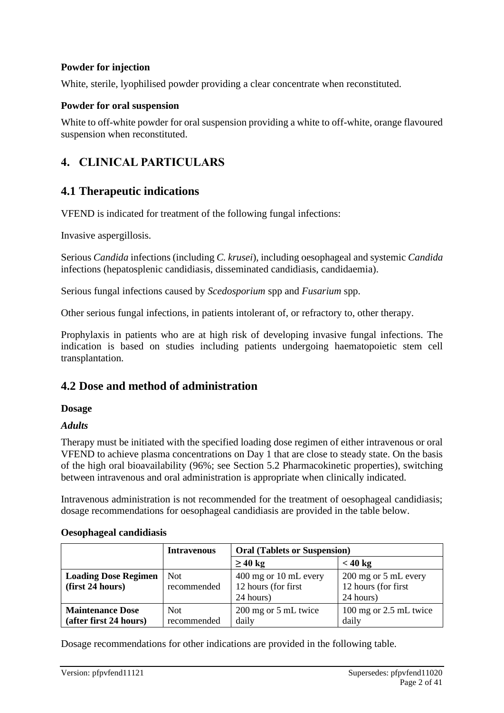#### **Powder for injection**

White, sterile, lyophilised powder providing a clear concentrate when reconstituted.

#### **Powder for oral suspension**

White to off-white powder for oral suspension providing a white to off-white, orange flavoured suspension when reconstituted.

# **4. CLINICAL PARTICULARS**

# **4.1 Therapeutic indications**

VFEND is indicated for treatment of the following fungal infections:

Invasive aspergillosis.

Serious *Candida* infections (including *C. krusei*), including oesophageal and systemic *Candida* infections (hepatosplenic candidiasis, disseminated candidiasis, candidaemia).

Serious fungal infections caused by *Scedosporium* spp and *Fusarium* spp.

Other serious fungal infections, in patients intolerant of, or refractory to, other therapy.

Prophylaxis in patients who are at high risk of developing invasive fungal infections. The indication is based on studies including patients undergoing haematopoietic stem cell transplantation.

# **4.2 Dose and method of administration**

#### **Dosage**

#### *Adults*

Therapy must be initiated with the specified loading dose regimen of either intravenous or oral VFEND to achieve plasma concentrations on Day 1 that are close to steady state. On the basis of the high oral bioavailability (96%; see Section 5.2 Pharmacokinetic properties), switching between intravenous and oral administration is appropriate when clinically indicated.

Intravenous administration is not recommended for the treatment of oesophageal candidiasis; dosage recommendations for oesophageal candidiasis are provided in the table below.

#### **Oesophageal candidiasis**

|                             | <b>Intravenous</b> | <b>Oral (Tablets or Suspension)</b> |                        |  |
|-----------------------------|--------------------|-------------------------------------|------------------------|--|
|                             |                    | $\geq 40 \text{ kg}$                | $< 40 \text{ kg}$      |  |
| <b>Loading Dose Regimen</b> | Not.               | 400 mg or 10 mL every               | 200 mg or 5 mL every   |  |
| (first 24 hours)            | recommended        | 12 hours (for first)                | 12 hours (for first    |  |
|                             |                    | 24 hours)                           | 24 hours)              |  |
| <b>Maintenance Dose</b>     | Not.               | 200 mg or 5 mL twice                | 100 mg or 2.5 mL twice |  |
| (after first 24 hours)      | recommended        | daily                               | daily                  |  |

Dosage recommendations for other indications are provided in the following table.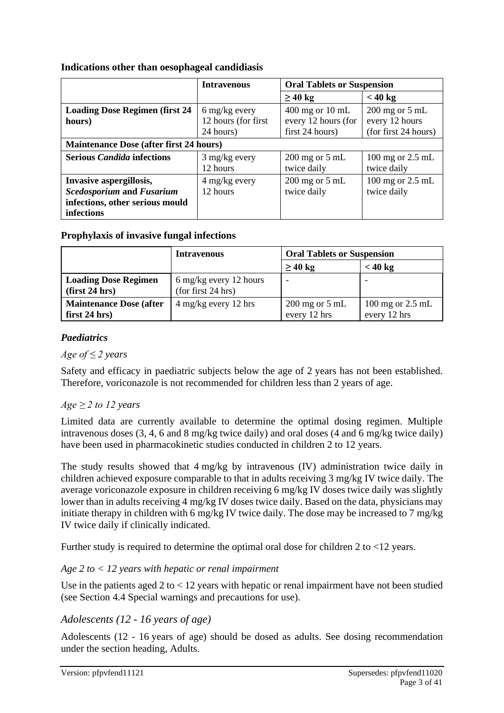#### **Indications other than oesophageal candidiasis**

|                                                | <b>Intravenous</b>          | <b>Oral Tablets or Suspension</b> |                                     |
|------------------------------------------------|-----------------------------|-----------------------------------|-------------------------------------|
|                                                |                             | $\geq 40$ kg                      | < 40 kg                             |
| <b>Loading Dose Regimen (first 24</b>          | 6 mg/kg every               | $400$ mg or $10$ mL               | $200$ mg or $5$ mL                  |
| hours)                                         | 12 hours (for first         | every 12 hours (for               | every 12 hours                      |
|                                                | 24 hours)                   | first 24 hours)                   | (for first 24 hours)                |
| <b>Maintenance Dose (after first 24 hours)</b> |                             |                                   |                                     |
| <b>Serious Candida infections</b>              | $3$ mg/kg every<br>12 hours | $200$ mg or $5$ mL<br>twice daily | $100$ mg or $2.5$ mL<br>twice daily |
| Invasive aspergillosis,                        | 4 mg/kg every               | $200$ mg or $5$ mL                | 100 mg or 2.5 mL                    |
| <b>Scedosporium and Fusarium</b>               | 12 hours                    | twice daily                       | twice daily                         |
| infections, other serious mould                |                             |                                   |                                     |
| infections                                     |                             |                                   |                                     |

#### **Prophylaxis of invasive fungal infections**

|                                                       | <b>Intravenous</b>                           | <b>Oral Tablets or Suspension</b>  |                                                      |
|-------------------------------------------------------|----------------------------------------------|------------------------------------|------------------------------------------------------|
|                                                       |                                              | $\geq 40$ kg                       | $<$ 40 kg                                            |
| <b>Loading Dose Regimen</b><br>$\frac{first 24}{nrs}$ | 6 mg/kg every 12 hours<br>(for first 24 hrs) | $\overline{\phantom{a}}$           |                                                      |
| <b>Maintenance Dose (after</b><br>first $24$ hrs)     | $4 \text{ mg/kg}$ every 12 hrs               | $200$ mg or $5$ mL<br>every 12 hrs | $100 \text{ mg}$ or $2.5 \text{ mL}$<br>every 12 hrs |

# *Paediatrics*

#### *Age of ≤ 2 years*

Safety and efficacy in paediatric subjects below the age of 2 years has not been established. Therefore, voriconazole is not recommended for children less than 2 years of age.

# $Age \geq 2$  to 12 years

Limited data are currently available to determine the optimal dosing regimen. Multiple intravenous doses (3, 4, 6 and 8 mg/kg twice daily) and oral doses (4 and 6 mg/kg twice daily) have been used in pharmacokinetic studies conducted in children 2 to 12 years.

The study results showed that 4 mg/kg by intravenous (IV) administration twice daily in children achieved exposure comparable to that in adults receiving 3 mg/kg IV twice daily. The average voriconazole exposure in children receiving 6 mg/kg IV doses twice daily was slightly lower than in adults receiving 4 mg/kg IV doses twice daily. Based on the data, physicians may initiate therapy in children with 6 mg/kg IV twice daily. The dose may be increased to 7 mg/kg IV twice daily if clinically indicated.

Further study is required to determine the optimal oral dose for children 2 to <12 years.

# *Age 2 to < 12 years with hepatic or renal impairment*

Use in the patients aged 2 to < 12 years with hepatic or renal impairment have not been studied (see Section 4.4 Special warnings and precautions for use).

# *Adolescents (12 - 16 years of age)*

Adolescents (12 - 16 years of age) should be dosed as adults. See dosing recommendation under the section heading, Adults.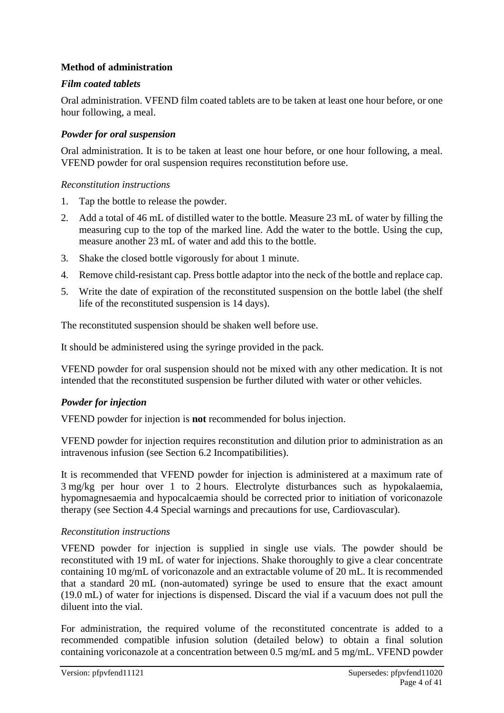#### **Method of administration**

#### *Film coated tablets*

Oral administration. VFEND film coated tablets are to be taken at least one hour before, or one hour following, a meal.

#### *Powder for oral suspension*

Oral administration. It is to be taken at least one hour before, or one hour following, a meal. VFEND powder for oral suspension requires reconstitution before use.

#### *Reconstitution instructions*

- 1. Tap the bottle to release the powder.
- 2. Add a total of 46 mL of distilled water to the bottle. Measure 23 mL of water by filling the measuring cup to the top of the marked line. Add the water to the bottle. Using the cup, measure another 23 mL of water and add this to the bottle.
- 3. Shake the closed bottle vigorously for about 1 minute.
- 4. Remove child-resistant cap. Press bottle adaptor into the neck of the bottle and replace cap.
- 5. Write the date of expiration of the reconstituted suspension on the bottle label (the shelf life of the reconstituted suspension is 14 days).

The reconstituted suspension should be shaken well before use.

It should be administered using the syringe provided in the pack.

VFEND powder for oral suspension should not be mixed with any other medication. It is not intended that the reconstituted suspension be further diluted with water or other vehicles.

# *Powder for injection*

VFEND powder for injection is **not** recommended for bolus injection.

VFEND powder for injection requires reconstitution and dilution prior to administration as an intravenous infusion (see Section 6.2 Incompatibilities).

It is recommended that VFEND powder for injection is administered at a maximum rate of 3 mg/kg per hour over 1 to 2 hours. Electrolyte disturbances such as hypokalaemia, hypomagnesaemia and hypocalcaemia should be corrected prior to initiation of voriconazole therapy (see Section 4.4 Special warnings and precautions for use, Cardiovascular).

#### *Reconstitution instructions*

VFEND powder for injection is supplied in single use vials. The powder should be reconstituted with 19 mL of water for injections. Shake thoroughly to give a clear concentrate containing 10 mg/mL of voriconazole and an extractable volume of 20 mL. It is recommended that a standard 20 mL (non-automated) syringe be used to ensure that the exact amount (19.0 mL) of water for injections is dispensed. Discard the vial if a vacuum does not pull the diluent into the vial.

For administration, the required volume of the reconstituted concentrate is added to a recommended compatible infusion solution (detailed below) to obtain a final solution containing voriconazole at a concentration between 0.5 mg/mL and 5 mg/mL. VFEND powder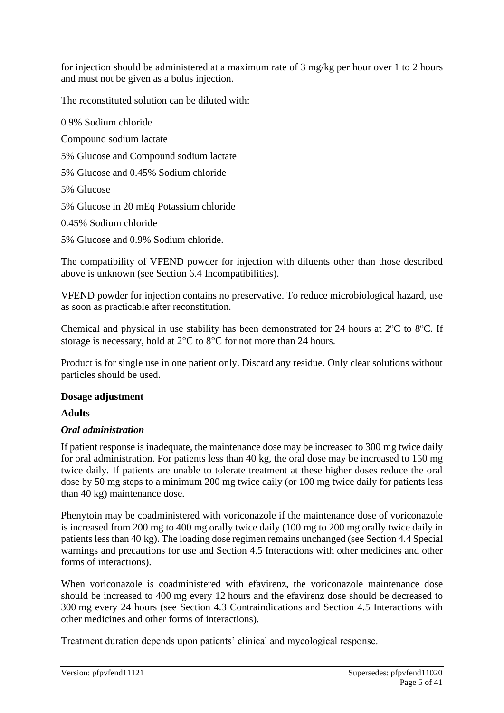for injection should be administered at a maximum rate of 3 mg/kg per hour over 1 to 2 hours and must not be given as a bolus injection.

The reconstituted solution can be diluted with:

0.9% Sodium chloride Compound sodium lactate 5% Glucose and Compound sodium lactate 5% Glucose and 0.45% Sodium chloride 5% Glucose 5% Glucose in 20 mEq Potassium chloride 0.45% Sodium chloride 5% Glucose and 0.9% Sodium chloride.

The compatibility of VFEND powder for injection with diluents other than those described above is unknown (see Section 6.4 Incompatibilities).

VFEND powder for injection contains no preservative. To reduce microbiological hazard, use as soon as practicable after reconstitution.

Chemical and physical in use stability has been demonstrated for 24 hours at  $2^{\circ}$ C to  $8^{\circ}$ C. If storage is necessary, hold at  $2^{\circ}C$  to  $8^{\circ}C$  for not more than 24 hours.

Product is for single use in one patient only. Discard any residue. Only clear solutions without particles should be used.

# **Dosage adjustment**

# **Adults**

#### *Oral administration*

If patient response is inadequate, the maintenance dose may be increased to 300 mg twice daily for oral administration. For patients less than 40 kg, the oral dose may be increased to 150 mg twice daily. If patients are unable to tolerate treatment at these higher doses reduce the oral dose by 50 mg steps to a minimum 200 mg twice daily (or 100 mg twice daily for patients less than 40 kg) maintenance dose.

Phenytoin may be coadministered with voriconazole if the maintenance dose of voriconazole is increased from 200 mg to 400 mg orally twice daily (100 mg to 200 mg orally twice daily in patients less than 40 kg). The loading dose regimen remains unchanged (see Section 4.4 Special warnings and precautions for use and Section 4.5 Interactions with other medicines and other forms of interactions).

When voriconazole is coadministered with efavirenz, the voriconazole maintenance dose should be increased to 400 mg every 12 hours and the efavirenz dose should be decreased to 300 mg every 24 hours (see Section 4.3 Contraindications and Section 4.5 Interactions with other medicines and other forms of interactions).

Treatment duration depends upon patients' clinical and mycological response.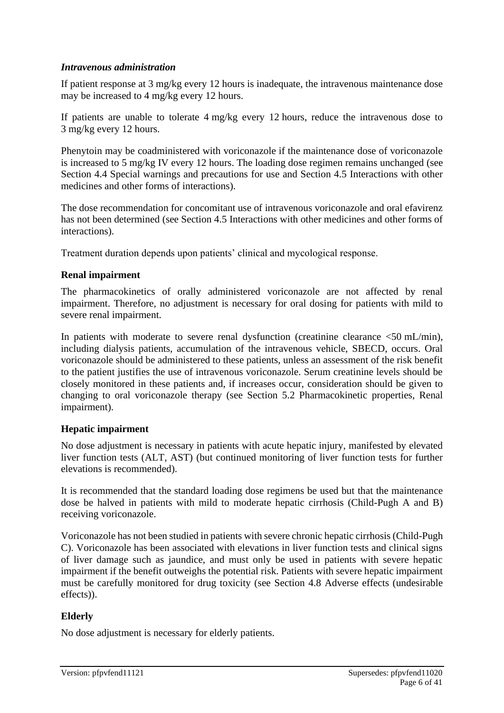#### *Intravenous administration*

If patient response at 3 mg/kg every 12 hours is inadequate, the intravenous maintenance dose may be increased to 4 mg/kg every 12 hours.

If patients are unable to tolerate 4 mg/kg every 12 hours, reduce the intravenous dose to 3 mg/kg every 12 hours.

Phenytoin may be coadministered with voriconazole if the maintenance dose of voriconazole is increased to 5 mg/kg IV every 12 hours. The loading dose regimen remains unchanged (see Section 4.4 Special warnings and precautions for use and Section 4.5 Interactions with other medicines and other forms of interactions).

The dose recommendation for concomitant use of intravenous voriconazole and oral efavirenz has not been determined (see Section 4.5 Interactions with other medicines and other forms of interactions).

Treatment duration depends upon patients' clinical and mycological response.

#### **Renal impairment**

The pharmacokinetics of orally administered voriconazole are not affected by renal impairment. Therefore, no adjustment is necessary for oral dosing for patients with mild to severe renal impairment.

In patients with moderate to severe renal dysfunction (creatinine clearance  $\langle 50 \text{ mL/min} \rangle$ , including dialysis patients, accumulation of the intravenous vehicle, SBECD, occurs. Oral voriconazole should be administered to these patients, unless an assessment of the risk benefit to the patient justifies the use of intravenous voriconazole. Serum creatinine levels should be closely monitored in these patients and, if increases occur, consideration should be given to changing to oral voriconazole therapy (see Section 5.2 Pharmacokinetic properties, Renal impairment).

#### **Hepatic impairment**

No dose adjustment is necessary in patients with acute hepatic injury, manifested by elevated liver function tests (ALT, AST) (but continued monitoring of liver function tests for further elevations is recommended).

It is recommended that the standard loading dose regimens be used but that the maintenance dose be halved in patients with mild to moderate hepatic cirrhosis (Child-Pugh A and B) receiving voriconazole.

Voriconazole has not been studied in patients with severe chronic hepatic cirrhosis (Child-Pugh C). Voriconazole has been associated with elevations in liver function tests and clinical signs of liver damage such as jaundice, and must only be used in patients with severe hepatic impairment if the benefit outweighs the potential risk. Patients with severe hepatic impairment must be carefully monitored for drug toxicity (see Section 4.8 Adverse effects (undesirable effects)).

# **Elderly**

No dose adjustment is necessary for elderly patients.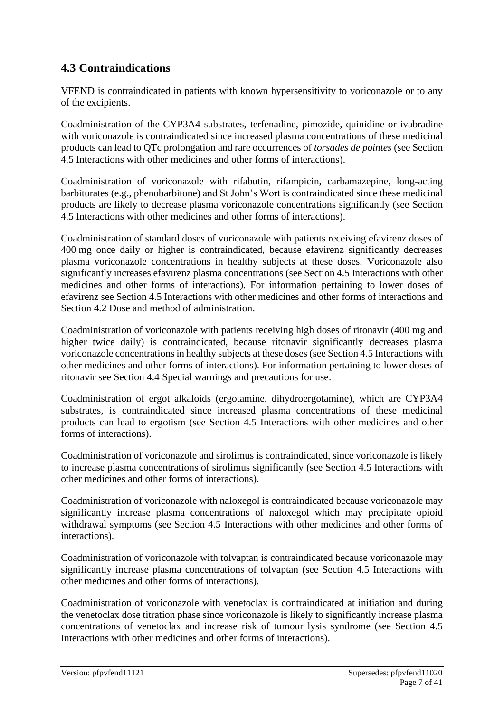# **4.3 Contraindications**

VFEND is contraindicated in patients with known hypersensitivity to voriconazole or to any of the excipients.

Coadministration of the CYP3A4 substrates, terfenadine, pimozide, quinidine or ivabradine with voriconazole is contraindicated since increased plasma concentrations of these medicinal products can lead to QTc prolongation and rare occurrences of *torsades de pointes* (see Section 4.5 Interactions with other medicines and other forms of interactions).

Coadministration of voriconazole with rifabutin, rifampicin, carbamazepine, long-acting barbiturates (e.g., phenobarbitone) and St John's Wort is contraindicated since these medicinal products are likely to decrease plasma voriconazole concentrations significantly (see Section 4.5 Interactions with other medicines and other forms of interactions).

Coadministration of standard doses of voriconazole with patients receiving efavirenz doses of 400 mg once daily or higher is contraindicated, because efavirenz significantly decreases plasma voriconazole concentrations in healthy subjects at these doses. Voriconazole also significantly increases efavirenz plasma concentrations (see Section 4.5 Interactions with other medicines and other forms of interactions). For information pertaining to lower doses of efavirenz see Section 4.5 Interactions with other medicines and other forms of interactions and Section 4.2 Dose and method of administration.

Coadministration of voriconazole with patients receiving high doses of ritonavir (400 mg and higher twice daily) is contraindicated, because ritonavir significantly decreases plasma voriconazole concentrations in healthy subjects at these doses (see Section 4.5 Interactions with other medicines and other forms of interactions). For information pertaining to lower doses of ritonavir see Section 4.4 Special warnings and precautions for use.

Coadministration of ergot alkaloids (ergotamine, dihydroergotamine), which are CYP3A4 substrates, is contraindicated since increased plasma concentrations of these medicinal products can lead to ergotism (see Section 4.5 Interactions with other medicines and other forms of interactions).

Coadministration of voriconazole and sirolimus is contraindicated, since voriconazole is likely to increase plasma concentrations of sirolimus significantly (see Section 4.5 Interactions with other medicines and other forms of interactions).

Coadministration of voriconazole with naloxegol is contraindicated because voriconazole may significantly increase plasma concentrations of naloxegol which may precipitate opioid withdrawal symptoms (see Section 4.5 Interactions with other medicines and other forms of interactions).

Coadministration of voriconazole with tolvaptan is contraindicated because voriconazole may significantly increase plasma concentrations of tolvaptan (see Section 4.5 Interactions with other medicines and other forms of interactions).

Coadministration of voriconazole with venetoclax is contraindicated at initiation and during the venetoclax dose titration phase since voriconazole is likely to significantly increase plasma concentrations of venetoclax and increase risk of tumour lysis syndrome (see Section 4.5 Interactions with other medicines and other forms of interactions).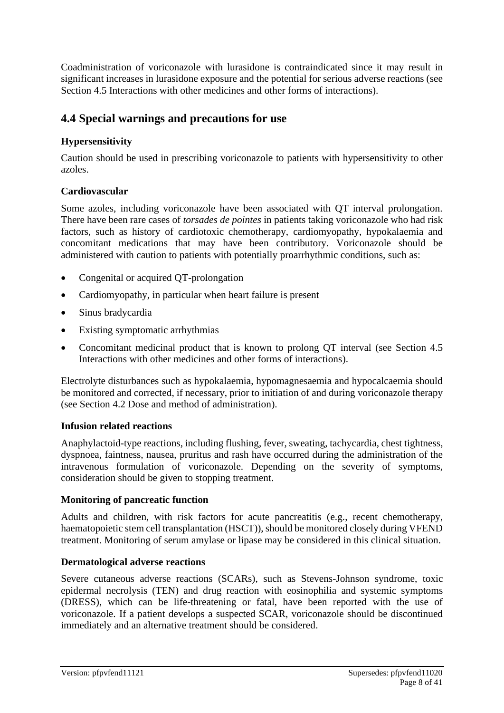Coadministration of voriconazole with lurasidone is contraindicated since it may result in significant increases in lurasidone exposure and the potential for serious adverse reactions (see Section 4.5 Interactions with other medicines and other forms of interactions).

# **4.4 Special warnings and precautions for use**

# **Hypersensitivity**

Caution should be used in prescribing voriconazole to patients with hypersensitivity to other azoles.

# **Cardiovascular**

Some azoles, including voriconazole have been associated with QT interval prolongation. There have been rare cases of *torsades de pointes* in patients taking voriconazole who had risk factors, such as history of cardiotoxic chemotherapy, cardiomyopathy, hypokalaemia and concomitant medications that may have been contributory. Voriconazole should be administered with caution to patients with potentially proarrhythmic conditions, such as:

- Congenital or acquired QT-prolongation
- Cardiomyopathy, in particular when heart failure is present
- Sinus bradycardia
- Existing symptomatic arrhythmias
- Concomitant medicinal product that is known to prolong QT interval (see Section 4.5) Interactions with other medicines and other forms of interactions).

Electrolyte disturbances such as hypokalaemia, hypomagnesaemia and hypocalcaemia should be monitored and corrected, if necessary, prior to initiation of and during voriconazole therapy (see Section 4.2 Dose and method of administration).

# **Infusion related reactions**

Anaphylactoid-type reactions, including flushing, fever, sweating, tachycardia, chest tightness, dyspnoea, faintness, nausea, pruritus and rash have occurred during the administration of the intravenous formulation of voriconazole. Depending on the severity of symptoms, consideration should be given to stopping treatment.

# **Monitoring of pancreatic function**

Adults and children, with risk factors for acute pancreatitis (e.g., recent chemotherapy, haematopoietic stem cell transplantation (HSCT)), should be monitored closely during VFEND treatment. Monitoring of serum amylase or lipase may be considered in this clinical situation.

# **Dermatological adverse reactions**

Severe cutaneous adverse reactions (SCARs), such as Stevens-Johnson syndrome, toxic epidermal necrolysis (TEN) and drug reaction with eosinophilia and systemic symptoms (DRESS), which can be life-threatening or fatal, have been reported with the use of voriconazole. If a patient develops a suspected SCAR, voriconazole should be discontinued immediately and an alternative treatment should be considered.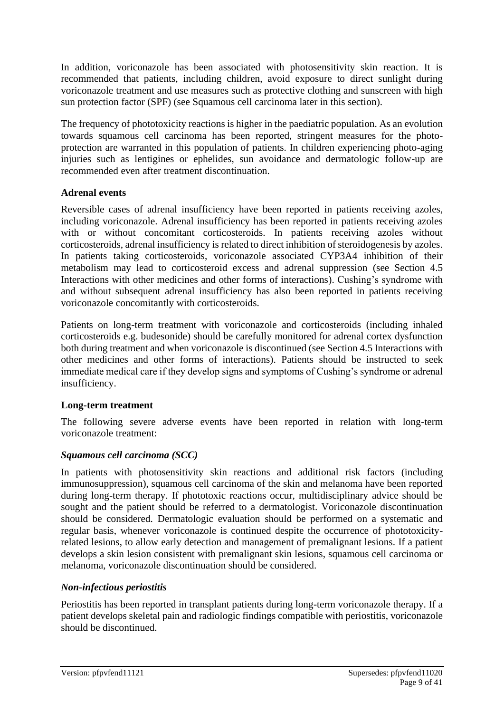In addition, voriconazole has been associated with photosensitivity skin reaction. It is recommended that patients, including children, avoid exposure to direct sunlight during voriconazole treatment and use measures such as protective clothing and sunscreen with high sun protection factor (SPF) (see Squamous cell carcinoma later in this section).

The frequency of phototoxicity reactions is higher in the paediatric population. As an evolution towards squamous cell carcinoma has been reported, stringent measures for the photoprotection are warranted in this population of patients. In children experiencing photo-aging injuries such as lentigines or ephelides, sun avoidance and dermatologic follow-up are recommended even after treatment discontinuation.

#### **Adrenal events**

Reversible cases of adrenal insufficiency have been reported in patients receiving azoles, including voriconazole. Adrenal insufficiency has been reported in patients receiving azoles with or without concomitant corticosteroids. In patients receiving azoles without corticosteroids, adrenal insufficiency is related to direct inhibition of steroidogenesis by azoles. In patients taking corticosteroids, voriconazole associated CYP3A4 inhibition of their metabolism may lead to corticosteroid excess and adrenal suppression (see Section 4.5 Interactions with other medicines and other forms of interactions). Cushing's syndrome with and without subsequent adrenal insufficiency has also been reported in patients receiving voriconazole concomitantly with corticosteroids.

Patients on long-term treatment with voriconazole and corticosteroids (including inhaled corticosteroids e.g. budesonide) should be carefully monitored for adrenal cortex dysfunction both during treatment and when voriconazole is discontinued (see Section 4.5 Interactions with other medicines and other forms of interactions). Patients should be instructed to seek immediate medical care if they develop signs and symptoms of Cushing's syndrome or adrenal insufficiency.

# **Long-term treatment**

The following severe adverse events have been reported in relation with long-term voriconazole treatment:

# *Squamous cell carcinoma (SCC)*

In patients with photosensitivity skin reactions and additional risk factors (including immunosuppression), squamous cell carcinoma of the skin and melanoma have been reported during long-term therapy. If phototoxic reactions occur, multidisciplinary advice should be sought and the patient should be referred to a dermatologist. Voriconazole discontinuation should be considered. Dermatologic evaluation should be performed on a systematic and regular basis, whenever voriconazole is continued despite the occurrence of phototoxicityrelated lesions, to allow early detection and management of premalignant lesions. If a patient develops a skin lesion consistent with premalignant skin lesions, squamous cell carcinoma or melanoma, voriconazole discontinuation should be considered.

# *Non-infectious periostitis*

Periostitis has been reported in transplant patients during long-term voriconazole therapy. If a patient develops skeletal pain and radiologic findings compatible with periostitis, voriconazole should be discontinued.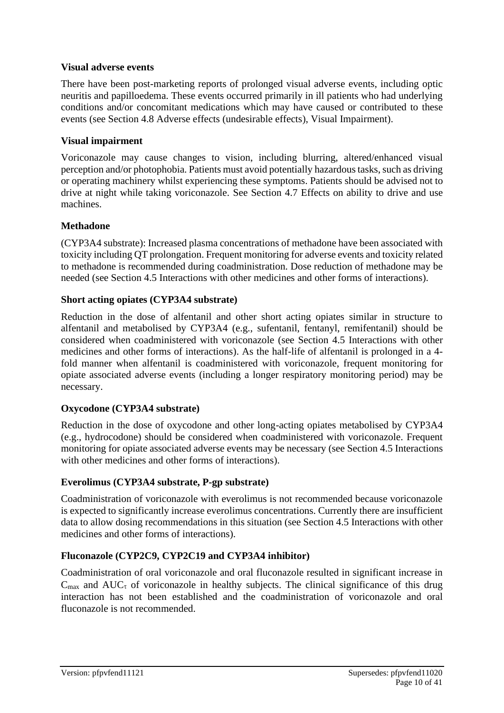#### **Visual adverse events**

There have been post-marketing reports of prolonged visual adverse events, including optic neuritis and papilloedema. These events occurred primarily in ill patients who had underlying conditions and/or concomitant medications which may have caused or contributed to these events (see Section 4.8 Adverse effects (undesirable effects), Visual Impairment).

#### **Visual impairment**

Voriconazole may cause changes to vision, including blurring, altered/enhanced visual perception and/or photophobia. Patients must avoid potentially hazardous tasks, such as driving or operating machinery whilst experiencing these symptoms. Patients should be advised not to drive at night while taking voriconazole. See Section 4.7 Effects on ability to drive and use machines.

#### **Methadone**

(CYP3A4 substrate): Increased plasma concentrations of methadone have been associated with toxicity including QT prolongation. Frequent monitoring for adverse events and toxicity related to methadone is recommended during coadministration. Dose reduction of methadone may be needed (see Section 4.5 Interactions with other medicines and other forms of interactions).

#### **Short acting opiates (CYP3A4 substrate)**

Reduction in the dose of alfentanil and other short acting opiates similar in structure to alfentanil and metabolised by CYP3A4 (e.g., sufentanil, fentanyl, remifentanil) should be considered when coadministered with voriconazole (see Section 4.5 Interactions with other medicines and other forms of interactions). As the half-life of alfentanil is prolonged in a 4 fold manner when alfentanil is coadministered with voriconazole, frequent monitoring for opiate associated adverse events (including a longer respiratory monitoring period) may be necessary.

# **Oxycodone (CYP3A4 substrate)**

Reduction in the dose of oxycodone and other long-acting opiates metabolised by CYP3A4 (e.g., hydrocodone) should be considered when coadministered with voriconazole. Frequent monitoring for opiate associated adverse events may be necessary (see Section 4.5 Interactions with other medicines and other forms of interactions).

#### **Everolimus (CYP3A4 substrate, P-gp substrate)**

Coadministration of voriconazole with everolimus is not recommended because voriconazole is expected to significantly increase everolimus concentrations. Currently there are insufficient data to allow dosing recommendations in this situation (see Section 4.5 Interactions with other medicines and other forms of interactions).

# **Fluconazole (CYP2C9, CYP2C19 and CYP3A4 inhibitor)**

Coadministration of oral voriconazole and oral fluconazole resulted in significant increase in  $C_{\text{max}}$  and AUC<sub> $\tau$ </sub> of voriconazole in healthy subjects. The clinical significance of this drug interaction has not been established and the coadministration of voriconazole and oral fluconazole is not recommended.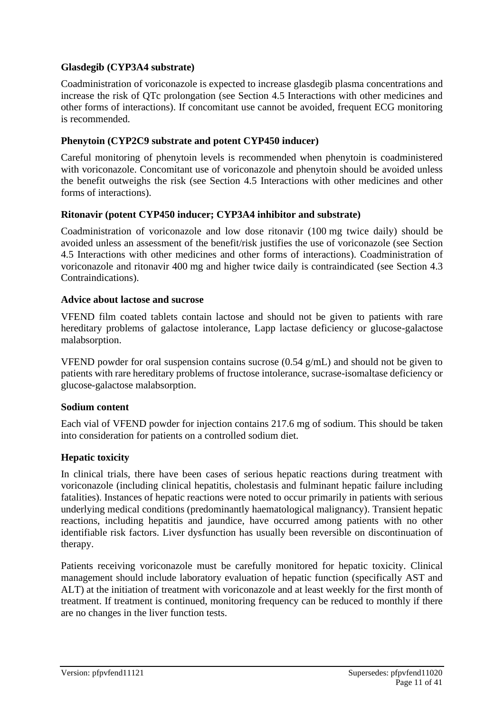#### **Glasdegib (CYP3A4 substrate)**

Coadministration of voriconazole is expected to increase glasdegib plasma concentrations and increase the risk of QTc prolongation (see Section 4.5 Interactions with other medicines and other forms of interactions). If concomitant use cannot be avoided, frequent ECG monitoring is recommended.

#### **Phenytoin (CYP2C9 substrate and potent CYP450 inducer)**

Careful monitoring of phenytoin levels is recommended when phenytoin is coadministered with voriconazole. Concomitant use of voriconazole and phenytoin should be avoided unless the benefit outweighs the risk (see Section 4.5 Interactions with other medicines and other forms of interactions).

#### **Ritonavir (potent CYP450 inducer; CYP3A4 inhibitor and substrate)**

Coadministration of voriconazole and low dose ritonavir (100 mg twice daily) should be avoided unless an assessment of the benefit/risk justifies the use of voriconazole (see Section 4.5 Interactions with other medicines and other forms of interactions). Coadministration of voriconazole and ritonavir 400 mg and higher twice daily is contraindicated (see Section 4.3 Contraindications).

#### **Advice about lactose and sucrose**

VFEND film coated tablets contain lactose and should not be given to patients with rare hereditary problems of galactose intolerance, Lapp lactase deficiency or glucose-galactose malabsorption.

VFEND powder for oral suspension contains sucrose (0.54 g/mL) and should not be given to patients with rare hereditary problems of fructose intolerance, sucrase-isomaltase deficiency or glucose-galactose malabsorption.

# **Sodium content**

Each vial of VFEND powder for injection contains 217.6 mg of sodium. This should be taken into consideration for patients on a controlled sodium diet.

# **Hepatic toxicity**

In clinical trials, there have been cases of serious hepatic reactions during treatment with voriconazole (including clinical hepatitis, cholestasis and fulminant hepatic failure including fatalities). Instances of hepatic reactions were noted to occur primarily in patients with serious underlying medical conditions (predominantly haematological malignancy). Transient hepatic reactions, including hepatitis and jaundice, have occurred among patients with no other identifiable risk factors. Liver dysfunction has usually been reversible on discontinuation of therapy.

Patients receiving voriconazole must be carefully monitored for hepatic toxicity. Clinical management should include laboratory evaluation of hepatic function (specifically AST and ALT) at the initiation of treatment with voriconazole and at least weekly for the first month of treatment. If treatment is continued, monitoring frequency can be reduced to monthly if there are no changes in the liver function tests.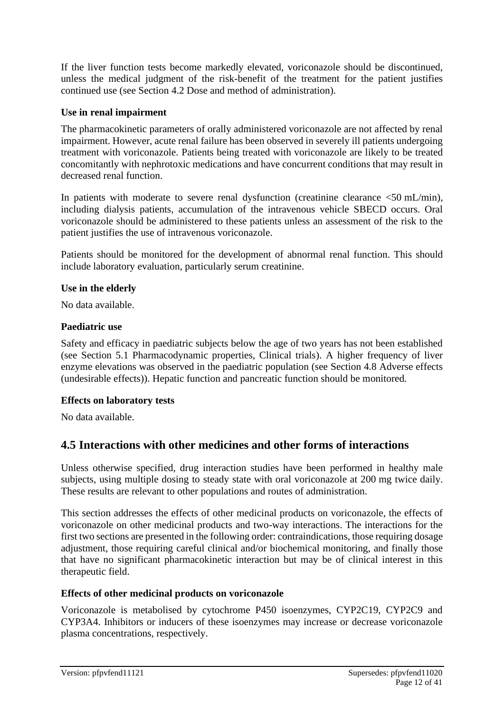If the liver function tests become markedly elevated, voriconazole should be discontinued, unless the medical judgment of the risk-benefit of the treatment for the patient justifies continued use (see Section 4.2 Dose and method of administration).

# **Use in renal impairment**

The pharmacokinetic parameters of orally administered voriconazole are not affected by renal impairment. However, acute renal failure has been observed in severely ill patients undergoing treatment with voriconazole. Patients being treated with voriconazole are likely to be treated concomitantly with nephrotoxic medications and have concurrent conditions that may result in decreased renal function.

In patients with moderate to severe renal dysfunction (creatinine clearance  $\leq 50$  mL/min), including dialysis patients, accumulation of the intravenous vehicle SBECD occurs. Oral voriconazole should be administered to these patients unless an assessment of the risk to the patient justifies the use of intravenous voriconazole.

Patients should be monitored for the development of abnormal renal function. This should include laboratory evaluation, particularly serum creatinine.

# **Use in the elderly**

No data available.

# **Paediatric use**

Safety and efficacy in paediatric subjects below the age of two years has not been established (see Section 5.1 Pharmacodynamic properties, Clinical trials). A higher frequency of liver enzyme elevations was observed in the paediatric population (see Section 4.8 Adverse effects (undesirable effects)). Hepatic function and pancreatic function should be monitored.

# **Effects on laboratory tests**

No data available.

# **4.5 Interactions with other medicines and other forms of interactions**

Unless otherwise specified, drug interaction studies have been performed in healthy male subjects, using multiple dosing to steady state with oral voriconazole at 200 mg twice daily. These results are relevant to other populations and routes of administration.

This section addresses the effects of other medicinal products on voriconazole, the effects of voriconazole on other medicinal products and two-way interactions. The interactions for the first two sections are presented in the following order: contraindications, those requiring dosage adjustment, those requiring careful clinical and/or biochemical monitoring, and finally those that have no significant pharmacokinetic interaction but may be of clinical interest in this therapeutic field.

# **Effects of other medicinal products on voriconazole**

Voriconazole is metabolised by cytochrome P450 isoenzymes, CYP2C19, CYP2C9 and CYP3A4. Inhibitors or inducers of these isoenzymes may increase or decrease voriconazole plasma concentrations, respectively.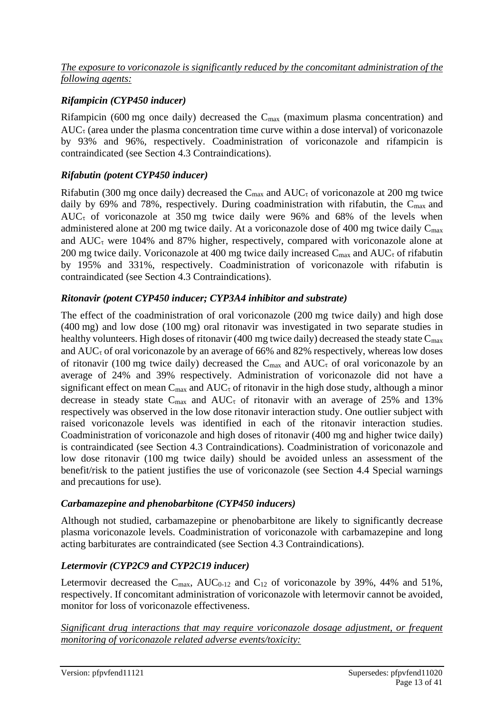#### *The exposure to voriconazole is significantly reduced by the concomitant administration of the following agents:*

# *Rifampicin (CYP450 inducer)*

Rifampicin (600 mg once daily) decreased the  $C_{\text{max}}$  (maximum plasma concentration) and  $AUC_{\tau}$  (area under the plasma concentration time curve within a dose interval) of voriconazole by 93% and 96%, respectively. Coadministration of voriconazole and rifampicin is contraindicated (see Section 4.3 Contraindications).

# *Rifabutin (potent CYP450 inducer)*

Rifabutin (300 mg once daily) decreased the  $C_{\text{max}}$  and  $AUC_{\tau}$  of voriconazole at 200 mg twice daily by 69% and 78%, respectively. During coadministration with rifabutin, the  $C_{\text{max}}$  and AUC $\tau$  of voriconazole at 350 mg twice daily were 96% and 68% of the levels when administered alone at 200 mg twice daily. At a voriconazole dose of 400 mg twice daily  $C_{\text{max}}$ and  $AUC_{\tau}$  were 104% and 87% higher, respectively, compared with voriconazole alone at 200 mg twice daily. Voriconazole at 400 mg twice daily increased  $C_{\text{max}}$  and  $AUC_{\tau}$  of rifabutin by 195% and 331%, respectively. Coadministration of voriconazole with rifabutin is contraindicated (see Section 4.3 Contraindications).

#### *Ritonavir (potent CYP450 inducer; CYP3A4 inhibitor and substrate)*

The effect of the coadministration of oral voriconazole (200 mg twice daily) and high dose (400 mg) and low dose (100 mg) oral ritonavir was investigated in two separate studies in healthy volunteers. High doses of ritonavir (400 mg twice daily) decreased the steady state  $C_{\text{max}}$ and  $AUC_{\tau}$  of oral voriconazole by an average of 66% and 82% respectively, whereas low doses of ritonavir (100 mg twice daily) decreased the  $C_{\text{max}}$  and  $AUC_{\tau}$  of oral voriconazole by an average of 24% and 39% respectively. Administration of voriconazole did not have a significant effect on mean  $C_{\text{max}}$  and  $AUC_{\tau}$  of ritonavir in the high dose study, although a minor decrease in steady state  $C_{\text{max}}$  and  $AUC_{\tau}$  of ritonavir with an average of 25% and 13% respectively was observed in the low dose ritonavir interaction study. One outlier subject with raised voriconazole levels was identified in each of the ritonavir interaction studies. Coadministration of voriconazole and high doses of ritonavir (400 mg and higher twice daily) is contraindicated (see Section 4.3 Contraindications). Coadministration of voriconazole and low dose ritonavir (100 mg twice daily) should be avoided unless an assessment of the benefit/risk to the patient justifies the use of voriconazole (see Section 4.4 Special warnings and precautions for use).

#### *Carbamazepine and phenobarbitone (CYP450 inducers)*

Although not studied, carbamazepine or phenobarbitone are likely to significantly decrease plasma voriconazole levels. Coadministration of voriconazole with carbamazepine and long acting barbiturates are contraindicated (see Section 4.3 Contraindications).

# *Letermovir (CYP2C9 and CYP2C19 inducer)*

Letermovir decreased the  $C_{\text{max}}$ , AUC<sub>0-12</sub> and  $C_{12}$  of voriconazole by 39%, 44% and 51%, respectively. If concomitant administration of voriconazole with letermovir cannot be avoided, monitor for loss of voriconazole effectiveness.

*Significant drug interactions that may require voriconazole dosage adjustment, or frequent monitoring of voriconazole related adverse events/toxicity:*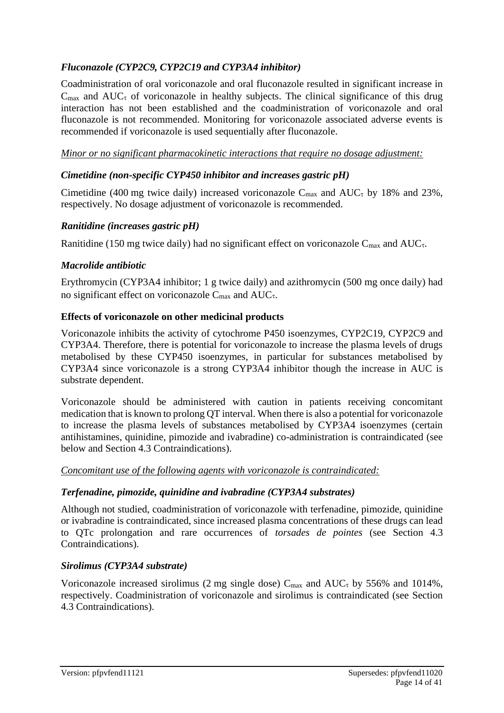# *Fluconazole (CYP2C9, CYP2C19 and CYP3A4 inhibitor)*

Coadministration of oral voriconazole and oral fluconazole resulted in significant increase in  $C_{\text{max}}$  and AUC<sub> $\tau$ </sub> of voriconazole in healthy subjects. The clinical significance of this drug interaction has not been established and the coadministration of voriconazole and oral fluconazole is not recommended. Monitoring for voriconazole associated adverse events is recommended if voriconazole is used sequentially after fluconazole.

*Minor or no significant pharmacokinetic interactions that require no dosage adjustment:*

#### *Cimetidine (non-specific CYP450 inhibitor and increases gastric pH)*

Cimetidine (400 mg twice daily) increased voriconazole  $C_{\text{max}}$  and  $AUC_{\tau}$  by 18% and 23%, respectively. No dosage adjustment of voriconazole is recommended.

#### *Ranitidine (increases gastric pH)*

Ranitidine (150 mg twice daily) had no significant effect on voriconazole  $C_{\text{max}}$  and  $AUC_{\tau}$ .

#### *Macrolide antibiotic*

Erythromycin (CYP3A4 inhibitor; 1 g twice daily) and azithromycin (500 mg once daily) had no significant effect on voriconazole  $C_{\text{max}}$  and  $AUC_{\tau}$ .

#### **Effects of voriconazole on other medicinal products**

Voriconazole inhibits the activity of cytochrome P450 isoenzymes, CYP2C19, CYP2C9 and CYP3A4. Therefore, there is potential for voriconazole to increase the plasma levels of drugs metabolised by these CYP450 isoenzymes, in particular for substances metabolised by CYP3A4 since voriconazole is a strong CYP3A4 inhibitor though the increase in AUC is substrate dependent.

Voriconazole should be administered with caution in patients receiving concomitant medication that is known to prolong QT interval. When there is also a potential for voriconazole to increase the plasma levels of substances metabolised by CYP3A4 isoenzymes (certain antihistamines, quinidine, pimozide and ivabradine) co-administration is contraindicated (see below and Section 4.3 Contraindications).

*Concomitant use of the following agents with voriconazole is contraindicated:*

# *Terfenadine, pimozide, quinidine and ivabradine (CYP3A4 substrates)*

Although not studied, coadministration of voriconazole with terfenadine, pimozide, quinidine or ivabradine is contraindicated, since increased plasma concentrations of these drugs can lead to QTc prolongation and rare occurrences of *torsades de pointes* (see Section 4.3 Contraindications).

# *Sirolimus (CYP3A4 substrate)*

Voriconazole increased sirolimus (2 mg single dose)  $C_{\text{max}}$  and  $AUC_{\tau}$  by 556% and 1014%, respectively. Coadministration of voriconazole and sirolimus is contraindicated (see Section 4.3 Contraindications).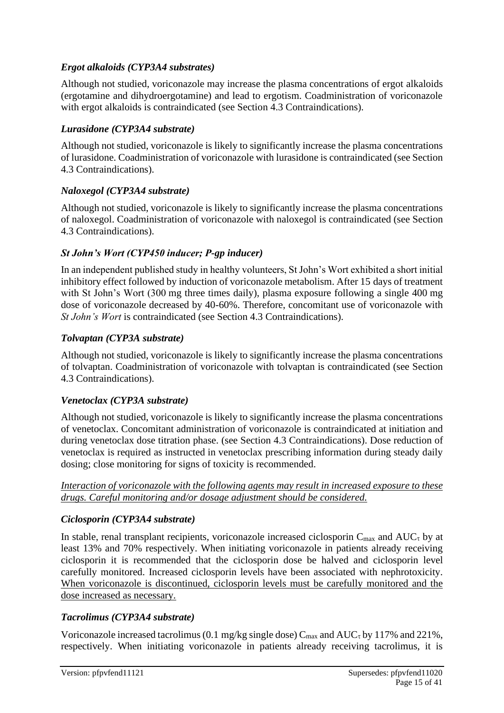# *Ergot alkaloids (CYP3A4 substrates)*

Although not studied, voriconazole may increase the plasma concentrations of ergot alkaloids (ergotamine and dihydroergotamine) and lead to ergotism. Coadministration of voriconazole with ergot alkaloids is contraindicated (see Section 4.3 Contraindications).

# *Lurasidone (CYP3A4 substrate)*

Although not studied, voriconazole is likely to significantly increase the plasma concentrations of lurasidone. Coadministration of voriconazole with lurasidone is contraindicated (see Section 4.3 Contraindications).

# *Naloxegol (CYP3A4 substrate)*

Although not studied, voriconazole is likely to significantly increase the plasma concentrations of naloxegol. Coadministration of voriconazole with naloxegol is contraindicated (see Section 4.3 Contraindications).

# *St John's Wort (CYP450 inducer; P-gp inducer)*

In an independent published study in healthy volunteers, St John's Wort exhibited a short initial inhibitory effect followed by induction of voriconazole metabolism. After 15 days of treatment with St John's Wort (300 mg three times daily), plasma exposure following a single 400 mg dose of voriconazole decreased by 40-60%. Therefore, concomitant use of voriconazole with *St John's Wort* is contraindicated (see Section 4.3 Contraindications).

# *Tolvaptan (CYP3A substrate)*

Although not studied, voriconazole is likely to significantly increase the plasma concentrations of tolvaptan. Coadministration of voriconazole with tolvaptan is contraindicated (see Section 4.3 Contraindications).

# *Venetoclax (CYP3A substrate)*

Although not studied, voriconazole is likely to significantly increase the plasma concentrations of venetoclax. Concomitant administration of voriconazole is contraindicated at initiation and during venetoclax dose titration phase. (see Section 4.3 Contraindications). Dose reduction of venetoclax is required as instructed in venetoclax prescribing information during steady daily dosing; close monitoring for signs of toxicity is recommended.

*Interaction of voriconazole with the following agents may result in increased exposure to these drugs. Careful monitoring and/or dosage adjustment should be considered.*

# *Ciclosporin (CYP3A4 substrate)*

In stable, renal transplant recipients, voriconazole increased ciclosporin  $C_{\text{max}}$  and  $AUC_{\tau}$  by at least 13% and 70% respectively. When initiating voriconazole in patients already receiving ciclosporin it is recommended that the ciclosporin dose be halved and ciclosporin level carefully monitored. Increased ciclosporin levels have been associated with nephrotoxicity. When voriconazole is discontinued, ciclosporin levels must be carefully monitored and the dose increased as necessary.

# *Tacrolimus (CYP3A4 substrate)*

Voriconazole increased tacrolimus (0.1 mg/kg single dose)  $C_{\text{max}}$  and  $AUC_{\tau}$  by 117% and 221%, respectively. When initiating voriconazole in patients already receiving tacrolimus, it is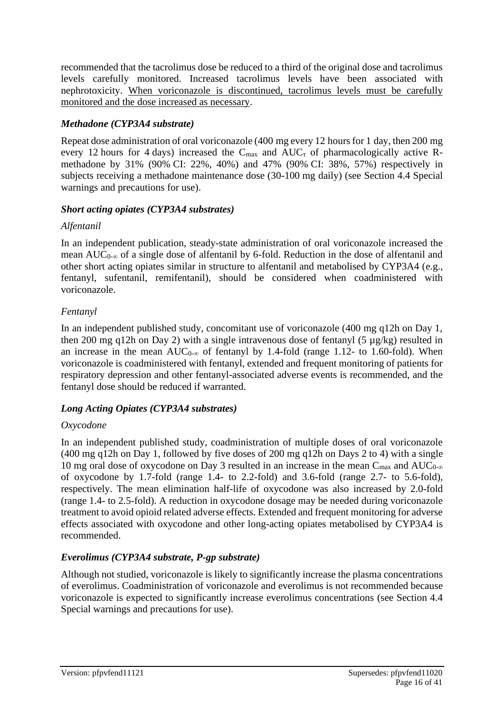recommended that the tacrolimus dose be reduced to a third of the original dose and tacrolimus levels carefully monitored. Increased tacrolimus levels have been associated with nephrotoxicity. When voriconazole is discontinued, tacrolimus levels must be carefully monitored and the dose increased as necessary.

# *Methadone (CYP3A4 substrate)*

Repeat dose administration of oral voriconazole (400 mg every 12 hours for 1 day, then 200 mg every 12 hours for 4 days) increased the  $C_{\text{max}}$  and  $AUC_{\tau}$  of pharmacologically active Rmethadone by 31% (90% CI: 22%, 40%) and 47% (90% CI: 38%, 57%) respectively in subjects receiving a methadone maintenance dose (30-100 mg daily) (see Section 4.4 Special warnings and precautions for use).

# *Short acting opiates (CYP3A4 substrates)*

# *Alfentanil*

In an independent publication, steady-state administration of oral voriconazole increased the mean  $AUC_{0-\infty}$  of a single dose of alfentanil by 6-fold. Reduction in the dose of alfentanil and other short acting opiates similar in structure to alfentanil and metabolised by CYP3A4 (e.g., fentanyl, sufentanil, remifentanil), should be considered when coadministered with voriconazole.

# *Fentanyl*

In an independent published study, concomitant use of voriconazole (400 mg q12h on Day 1, then 200 mg q12h on Day 2) with a single intravenous dose of fentanyl (5 µg/kg) resulted in an increase in the mean  $AUC_{0-\infty}$  of fentanyl by 1.4-fold (range 1.12- to 1.60-fold). When voriconazole is coadministered with fentanyl, extended and frequent monitoring of patients for respiratory depression and other fentanyl-associated adverse events is recommended, and the fentanyl dose should be reduced if warranted.

# *Long Acting Opiates (CYP3A4 substrates)*

# *Oxycodone*

In an independent published study, coadministration of multiple doses of oral voriconazole (400 mg q12h on Day 1, followed by five doses of 200 mg q12h on Days 2 to 4) with a single 10 mg oral dose of oxycodone on Day 3 resulted in an increase in the mean  $C_{\text{max}}$  and  $AUC_{0-\infty}$ of oxycodone by 1.7-fold (range 1.4- to 2.2-fold) and 3.6-fold (range 2.7- to 5.6-fold), respectively. The mean elimination half-life of oxycodone was also increased by 2.0-fold (range 1.4- to 2.5-fold). A reduction in oxycodone dosage may be needed during voriconazole treatment to avoid opioid related adverse effects. Extended and frequent monitoring for adverse effects associated with oxycodone and other long-acting opiates metabolised by CYP3A4 is recommended.

# *Everolimus (CYP3A4 substrate, P-gp substrate)*

Although not studied, voriconazole is likely to significantly increase the plasma concentrations of everolimus. Coadministration of voriconazole and everolimus is not recommended because voriconazole is expected to significantly increase everolimus concentrations (see Section 4.4 Special warnings and precautions for use).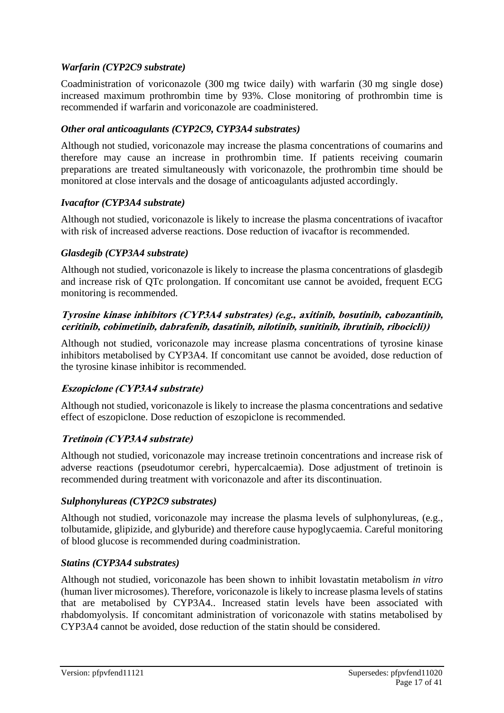# *Warfarin (CYP2C9 substrate)*

Coadministration of voriconazole (300 mg twice daily) with warfarin (30 mg single dose) increased maximum prothrombin time by 93%. Close monitoring of prothrombin time is recommended if warfarin and voriconazole are coadministered.

# *Other oral anticoagulants (CYP2C9, CYP3A4 substrates)*

Although not studied, voriconazole may increase the plasma concentrations of coumarins and therefore may cause an increase in prothrombin time. If patients receiving coumarin preparations are treated simultaneously with voriconazole, the prothrombin time should be monitored at close intervals and the dosage of anticoagulants adjusted accordingly.

# *Ivacaftor (CYP3A4 substrate)*

Although not studied, voriconazole is likely to increase the plasma concentrations of ivacaftor with risk of increased adverse reactions. Dose reduction of ivacaftor is recommended.

#### *Glasdegib (CYP3A4 substrate)*

Although not studied, voriconazole is likely to increase the plasma concentrations of glasdegib and increase risk of QTc prolongation. If concomitant use cannot be avoided, frequent ECG monitoring is recommended.

#### **Tyrosine kinase inhibitors (CYP3A4 substrates) (e.g., axitinib, bosutinib, cabozantinib, ceritinib, cobimetinib, dabrafenib, dasatinib, nilotinib, sunitinib, ibrutinib, ribocicli))**

Although not studied, voriconazole may increase plasma concentrations of tyrosine kinase inhibitors metabolised by CYP3A4. If concomitant use cannot be avoided, dose reduction of the tyrosine kinase inhibitor is recommended.

# **Eszopiclone (CYP3A4 substrate)**

Although not studied, voriconazole is likely to increase the plasma concentrations and sedative effect of eszopiclone. Dose reduction of eszopiclone is recommended.

# **Tretinoin (CYP3A4 substrate)**

Although not studied, voriconazole may increase tretinoin concentrations and increase risk of adverse reactions (pseudotumor cerebri, hypercalcaemia). Dose adjustment of tretinoin is recommended during treatment with voriconazole and after its discontinuation.

# *Sulphonylureas (CYP2C9 substrates)*

Although not studied, voriconazole may increase the plasma levels of sulphonylureas, (e.g., tolbutamide, glipizide, and glyburide) and therefore cause hypoglycaemia. Careful monitoring of blood glucose is recommended during coadministration.

#### *Statins (CYP3A4 substrates)*

Although not studied, voriconazole has been shown to inhibit lovastatin metabolism *in vitro* (human liver microsomes). Therefore, voriconazole is likely to increase plasma levels of statins that are metabolised by CYP3A4.. Increased statin levels have been associated with rhabdomyolysis. If concomitant administration of voriconazole with statins metabolised by CYP3A4 cannot be avoided, dose reduction of the statin should be considered.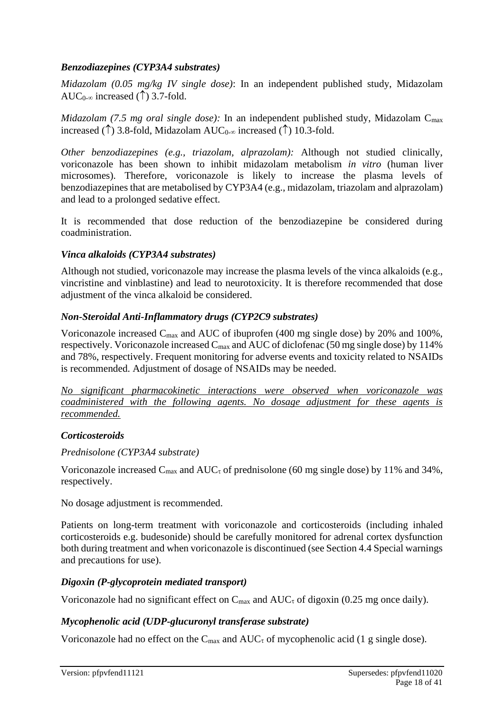# *Benzodiazepines (CYP3A4 substrates)*

*Midazolam (0.05 mg/kg IV single dose)*: In an independent published study, Midazolam AUC<sub>0- $\infty$ </sub> increased ( $\uparrow$ ) 3.7-fold.

*Midazolam (7.5 mg oral single dose)*: In an independent published study, Midazolam C<sub>max</sub> increased ( $\uparrow$ ) 3.8-fold, Midazolam AUC<sub>0-∞</sub> increased ( $\uparrow$ ) 10.3-fold.

*Other benzodiazepines (e.g., triazolam, alprazolam):* Although not studied clinically, voriconazole has been shown to inhibit midazolam metabolism *in vitro* (human liver microsomes). Therefore, voriconazole is likely to increase the plasma levels of benzodiazepines that are metabolised by CYP3A4 (e.g., midazolam, triazolam and alprazolam) and lead to a prolonged sedative effect.

It is recommended that dose reduction of the benzodiazepine be considered during coadministration.

# *Vinca alkaloids (CYP3A4 substrates)*

Although not studied, voriconazole may increase the plasma levels of the vinca alkaloids (e.g., vincristine and vinblastine) and lead to neurotoxicity. It is therefore recommended that dose adjustment of the vinca alkaloid be considered.

# *Non-Steroidal Anti-Inflammatory drugs (CYP2C9 substrates)*

Voriconazole increased Cmax and AUC of ibuprofen (400 mg single dose) by 20% and 100%, respectively. Voriconazole increased  $C_{\text{max}}$  and AUC of diclofenac (50 mg single dose) by 114% and 78%, respectively. Frequent monitoring for adverse events and toxicity related to NSAIDs is recommended. Adjustment of dosage of NSAIDs may be needed.

*No significant pharmacokinetic interactions were observed when voriconazole was coadministered with the following agents. No dosage adjustment for these agents is recommended.*

# *Corticosteroids*

# *Prednisolone (CYP3A4 substrate)*

Voriconazole increased C<sub>max</sub> and AUC<sub>τ</sub> of prednisolone (60 mg single dose) by 11% and 34%, respectively.

No dosage adjustment is recommended.

Patients on long-term treatment with voriconazole and corticosteroids (including inhaled corticosteroids e.g. budesonide) should be carefully monitored for adrenal cortex dysfunction both during treatment and when voriconazole is discontinued (see Section 4.4 Special warnings and precautions for use).

# *Digoxin (P-glycoprotein mediated transport)*

Voriconazole had no significant effect on  $C_{\text{max}}$  and  $AUC_{\tau}$  of digoxin (0.25 mg once daily).

# *Mycophenolic acid (UDP-glucuronyl transferase substrate)*

Voriconazole had no effect on the  $C_{\text{max}}$  and  $AUC_{\tau}$  of mycophenolic acid (1 g single dose).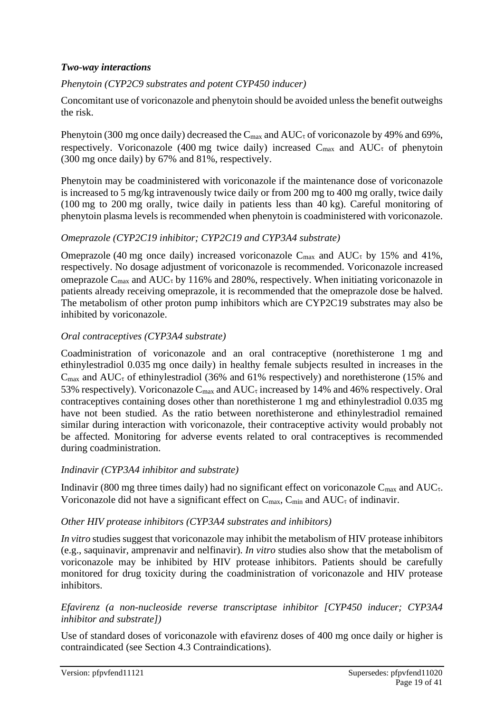### *Two-way interactions*

# *Phenytoin (CYP2C9 substrates and potent CYP450 inducer)*

Concomitant use of voriconazole and phenytoin should be avoided unless the benefit outweighs the risk.

Phenytoin (300 mg once daily) decreased the  $C_{\text{max}}$  and  $AUC_{\tau}$  of voriconazole by 49% and 69%, respectively. Voriconazole (400 mg twice daily) increased  $C_{\text{max}}$  and  $AUC_{\tau}$  of phenytoin (300 mg once daily) by 67% and 81%, respectively.

Phenytoin may be coadministered with voriconazole if the maintenance dose of voriconazole is increased to 5 mg/kg intravenously twice daily or from 200 mg to 400 mg orally, twice daily (100 mg to 200 mg orally, twice daily in patients less than 40 kg). Careful monitoring of phenytoin plasma levels is recommended when phenytoin is coadministered with voriconazole.

# *Omeprazole (CYP2C19 inhibitor; CYP2C19 and CYP3A4 substrate)*

Omeprazole (40 mg once daily) increased voriconazole  $C_{\text{max}}$  and  $AUC_{\tau}$  by 15% and 41%, respectively. No dosage adjustment of voriconazole is recommended. Voriconazole increased omeprazole  $C_{\text{max}}$  and  $AUC_{\tau}$  by 116% and 280%, respectively. When initiating voriconazole in patients already receiving omeprazole, it is recommended that the omeprazole dose be halved. The metabolism of other proton pump inhibitors which are CYP2C19 substrates may also be inhibited by voriconazole.

#### *Oral contraceptives (CYP3A4 substrate)*

Coadministration of voriconazole and an oral contraceptive (norethisterone 1 mg and ethinylestradiol 0.035 mg once daily) in healthy female subjects resulted in increases in the  $C_{\text{max}}$  and AUC<sub> $\tau$ </sub> of ethinylestradiol (36% and 61% respectively) and norethisterone (15% and 53% respectively). Voriconazole  $C_{\text{max}}$  and  $AUC_{\tau}$  increased by 14% and 46% respectively. Oral contraceptives containing doses other than norethisterone 1 mg and ethinylestradiol 0.035 mg have not been studied. As the ratio between norethisterone and ethinylestradiol remained similar during interaction with voriconazole, their contraceptive activity would probably not be affected. Monitoring for adverse events related to oral contraceptives is recommended during coadministration.

#### *Indinavir (CYP3A4 inhibitor and substrate)*

Indinavir (800 mg three times daily) had no significant effect on voriconazole  $C_{\text{max}}$  and  $AUC_{\tau}$ . Voriconazole did not have a significant effect on  $C_{\text{max}}$ ,  $C_{\text{min}}$  and  $AUC_{\tau}$  of indinavir.

# *Other HIV protease inhibitors (CYP3A4 substrates and inhibitors)*

*In vitro* studies suggest that voriconazole may inhibit the metabolism of HIV protease inhibitors (e.g., saquinavir, amprenavir and nelfinavir). *In vitro* studies also show that the metabolism of voriconazole may be inhibited by HIV protease inhibitors. Patients should be carefully monitored for drug toxicity during the coadministration of voriconazole and HIV protease inhibitors.

#### *Efavirenz (a non-nucleoside reverse transcriptase inhibitor [CYP450 inducer; CYP3A4 inhibitor and substrate])*

Use of standard doses of voriconazole with efavirenz doses of 400 mg once daily or higher is contraindicated (see Section 4.3 Contraindications).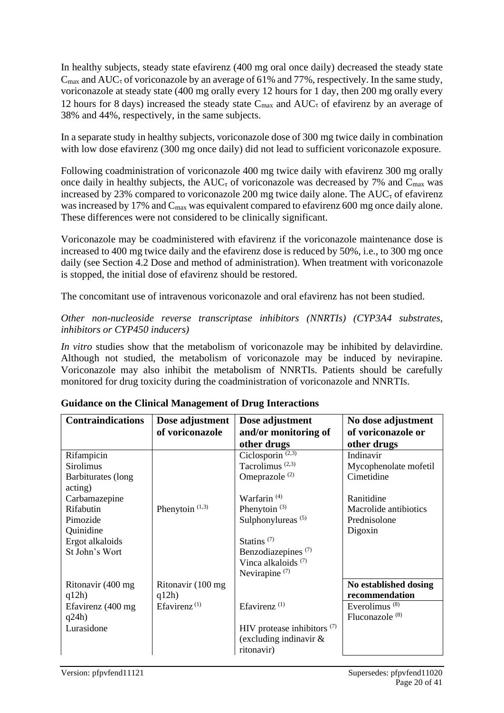In healthy subjects, steady state efavirenz (400 mg oral once daily) decreased the steady state  $C_{\text{max}}$  and  $AUC_{\tau}$  of voriconazole by an average of 61% and 77%, respectively. In the same study, voriconazole at steady state (400 mg orally every 12 hours for 1 day, then 200 mg orally every 12 hours for 8 days) increased the steady state  $C_{\text{max}}$  and  $AUC_{\tau}$  of efavirenz by an average of 38% and 44%, respectively, in the same subjects.

In a separate study in healthy subjects, voriconazole dose of 300 mg twice daily in combination with low dose efavirenz (300 mg once daily) did not lead to sufficient voriconazole exposure.

Following coadministration of voriconazole 400 mg twice daily with efavirenz 300 mg orally once daily in healthy subjects, the  $AUC_{\tau}$  of voriconazole was decreased by 7% and  $C_{\text{max}}$  was increased by 23% compared to voriconazole 200 mg twice daily alone. The  $AUC_{\tau}$  of efavirenz was increased by 17% and C<sub>max</sub> was equivalent compared to efavirenz 600 mg once daily alone. These differences were not considered to be clinically significant.

Voriconazole may be coadministered with efavirenz if the voriconazole maintenance dose is increased to 400 mg twice daily and the efavirenz dose is reduced by 50%, i.e., to 300 mg once daily (see Section 4.2 Dose and method of administration). When treatment with voriconazole is stopped, the initial dose of efavirenz should be restored.

The concomitant use of intravenous voriconazole and oral efavirenz has not been studied.

#### *Other non-nucleoside reverse transcriptase inhibitors (NNRTIs) (CYP3A4 substrates, inhibitors or CYP450 inducers)*

*In vitro* studies show that the metabolism of voriconazole may be inhibited by delavirdine. Although not studied, the metabolism of voriconazole may be induced by nevirapine. Voriconazole may also inhibit the metabolism of NNRTIs. Patients should be carefully monitored for drug toxicity during the coadministration of voriconazole and NNRTIs.

| <b>Contraindications</b> | Dose adjustment            | Dose adjustment                | No dose adjustment         |
|--------------------------|----------------------------|--------------------------------|----------------------------|
|                          | of voriconazole            | and/or monitoring of           | of voriconazole or         |
|                          |                            | other drugs                    | other drugs                |
| Rifampicin               |                            | Ciclosporin $(2,3)$            | Indinavir                  |
| <b>Sirolimus</b>         |                            | Tacrolimus <sup>(2,3)</sup>    | Mycophenolate mofetil      |
| Barbiturates (long       |                            | Omeprazole <sup>(2)</sup>      | Cimetidine                 |
| acting)                  |                            |                                |                            |
| Carbamazepine            |                            | Warfarin <sup>(4)</sup>        | Ranitidine                 |
| Rifabutin                | Phenytoin <sup>(1,3)</sup> | Phenytoin $(3)$                | Macrolide antibiotics      |
| Pimozide                 |                            | Sulphonylureas <sup>(5)</sup>  | Prednisolone               |
| Quinidine                |                            |                                | Digoxin                    |
| Ergot alkaloids          |                            | Statins $(7)$                  |                            |
| St John's Wort           |                            | Benzodiazepines <sup>(7)</sup> |                            |
|                          |                            | Vinca alkaloids <sup>(7)</sup> |                            |
|                          |                            | Nevirapine $(7)$               |                            |
| Ritonavir (400 mg        | Ritonavir (100 mg          |                                | No established dosing      |
| q12h)                    | q12h)                      |                                | recommendation             |
| Efavirenz (400 mg        | Efavirenz <sup>(1)</sup>   | Efavirenz $(1)$                | Everolimus $(8)$           |
| q24h)                    |                            |                                | Fluconazole <sup>(8)</sup> |
| Lurasidone               |                            | HIV protease inhibitors $(7)$  |                            |
|                          |                            | (excluding indinavir $\&$      |                            |
|                          |                            | ritonavir)                     |                            |

# **Guidance on the Clinical Management of Drug Interactions**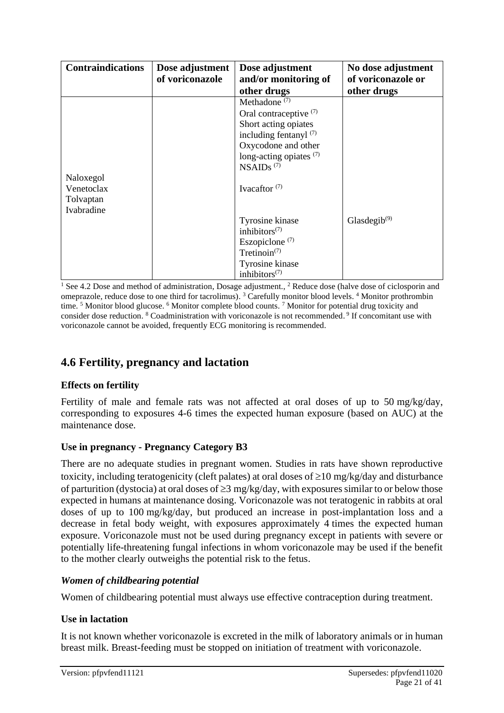| <b>Contraindications</b> | Dose adjustment | Dose adjustment           | No dose adjustment                    |
|--------------------------|-----------------|---------------------------|---------------------------------------|
|                          | of voriconazole | and/or monitoring of      | of voriconazole or                    |
|                          |                 | other drugs               | other drugs                           |
|                          |                 | Methadone <sup>(7)</sup>  |                                       |
|                          |                 | Oral contraceptive $(7)$  |                                       |
|                          |                 | Short acting opiates      |                                       |
|                          |                 | including fentanyl $(7)$  |                                       |
|                          |                 | Oxycodone and other       |                                       |
|                          |                 | long-acting opiates $(7)$ |                                       |
|                          |                 | $NSAIDs$ <sup>(7)</sup>   |                                       |
| Naloxegol                |                 |                           |                                       |
| Venetoclax               |                 | Ivacaftor $(7)$           |                                       |
| Tolvaptan                |                 |                           |                                       |
| Ivabradine               |                 |                           |                                       |
|                          |                 | Tyrosine kinase           | Glasdegib <sup><math>(9)</math></sup> |
|                          |                 | inhibitors $(7)$          |                                       |
|                          |                 | Eszopiclone $(7)$         |                                       |
|                          |                 | Tretinoin $(7)$           |                                       |
|                          |                 | Tyrosine kinase           |                                       |
|                          |                 | inhibitors $(7)$          |                                       |

<sup>1</sup> See 4.2 Dose and method of administration, Dosage adjustment., <sup>2</sup> Reduce dose (halve dose of ciclosporin and omeprazole, reduce dose to one third for tacrolimus). <sup>3</sup> Carefully monitor blood levels. <sup>4</sup> Monitor prothrombin time.<sup>5</sup> Monitor blood glucose. <sup>6</sup> Monitor complete blood counts.<sup>7</sup> Monitor for potential drug toxicity and consider dose reduction. <sup>8</sup> Coadministration with voriconazole is not recommended. 9 If concomitant use with voriconazole cannot be avoided, frequently ECG monitoring is recommended.

# **4.6 Fertility, pregnancy and lactation**

# **Effects on fertility**

Fertility of male and female rats was not affected at oral doses of up to 50 mg/kg/day, corresponding to exposures 4-6 times the expected human exposure (based on AUC) at the maintenance dose.

# **Use in pregnancy - Pregnancy Category B3**

There are no adequate studies in pregnant women. Studies in rats have shown reproductive toxicity, including teratogenicity (cleft palates) at oral doses of  $\geq 10$  mg/kg/day and disturbance of parturition (dystocia) at oral doses of  $\geq$ 3 mg/kg/day, with exposures similar to or below those expected in humans at maintenance dosing. Voriconazole was not teratogenic in rabbits at oral doses of up to 100 mg/kg/day, but produced an increase in post-implantation loss and a decrease in fetal body weight, with exposures approximately 4 times the expected human exposure. Voriconazole must not be used during pregnancy except in patients with severe or potentially life-threatening fungal infections in whom voriconazole may be used if the benefit to the mother clearly outweighs the potential risk to the fetus.

# *Women of childbearing potential*

Women of childbearing potential must always use effective contraception during treatment.

# **Use in lactation**

It is not known whether voriconazole is excreted in the milk of laboratory animals or in human breast milk. Breast-feeding must be stopped on initiation of treatment with voriconazole.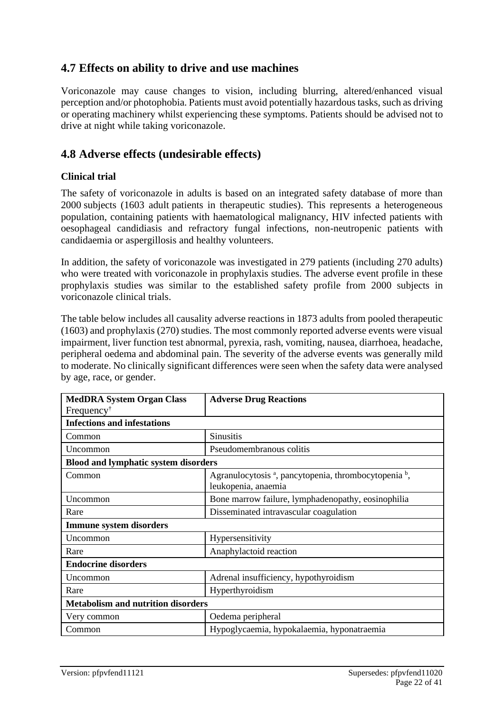# **4.7 Effects on ability to drive and use machines**

Voriconazole may cause changes to vision, including blurring, altered/enhanced visual perception and/or photophobia. Patients must avoid potentially hazardous tasks, such as driving or operating machinery whilst experiencing these symptoms. Patients should be advised not to drive at night while taking voriconazole.

# **4.8 Adverse effects (undesirable effects)**

#### **Clinical trial**

The safety of voriconazole in adults is based on an integrated safety database of more than 2000 subjects (1603 adult patients in therapeutic studies). This represents a heterogeneous population, containing patients with haematological malignancy, HIV infected patients with oesophageal candidiasis and refractory fungal infections, non-neutropenic patients with candidaemia or aspergillosis and healthy volunteers.

In addition, the safety of voriconazole was investigated in 279 patients (including 270 adults) who were treated with voriconazole in prophylaxis studies. The adverse event profile in these prophylaxis studies was similar to the established safety profile from 2000 subjects in voriconazole clinical trials.

The table below includes all causality adverse reactions in 1873 adults from pooled therapeutic (1603) and prophylaxis (270) studies. The most commonly reported adverse events were visual impairment, liver function test abnormal, pyrexia, rash, vomiting, nausea, diarrhoea, headache, peripheral oedema and abdominal pain. The severity of the adverse events was generally mild to moderate. No clinically significant differences were seen when the safety data were analysed by age, race, or gender.

| <b>MedDRA System Organ Class</b>            | <b>Adverse Drug Reactions</b>                                                                       |  |  |
|---------------------------------------------|-----------------------------------------------------------------------------------------------------|--|--|
| Frequency <sup>†</sup>                      |                                                                                                     |  |  |
| <b>Infections and infestations</b>          |                                                                                                     |  |  |
| Common                                      | <b>Sinusitis</b>                                                                                    |  |  |
| Uncommon                                    | Pseudomembranous colitis                                                                            |  |  |
| <b>Blood and lymphatic system disorders</b> |                                                                                                     |  |  |
| Common                                      | Agranulocytosis <sup>a</sup> , pancytopenia, thrombocytopenia <sup>b</sup> ,<br>leukopenia, anaemia |  |  |
| Uncommon                                    | Bone marrow failure, lymphadenopathy, eosinophilia                                                  |  |  |
| Rare                                        | Disseminated intravascular coagulation                                                              |  |  |
| <b>Immune system disorders</b>              |                                                                                                     |  |  |
| Uncommon                                    | Hypersensitivity                                                                                    |  |  |
| Rare                                        | Anaphylactoid reaction                                                                              |  |  |
| <b>Endocrine disorders</b>                  |                                                                                                     |  |  |
| Uncommon                                    | Adrenal insufficiency, hypothyroidism                                                               |  |  |
| Rare                                        | Hyperthyroidism                                                                                     |  |  |
| <b>Metabolism and nutrition disorders</b>   |                                                                                                     |  |  |
| Very common                                 | Oedema peripheral                                                                                   |  |  |
| Common                                      | Hypoglycaemia, hypokalaemia, hyponatraemia                                                          |  |  |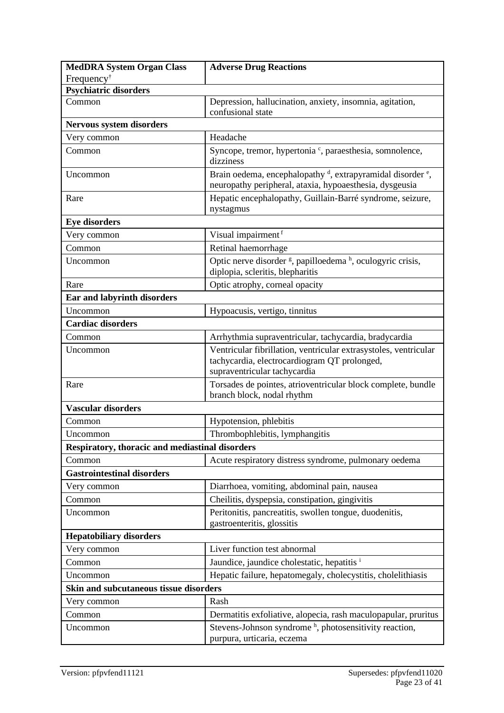| <b>MedDRA System Organ Class</b>                | <b>Adverse Drug Reactions</b>                                                                                                                 |
|-------------------------------------------------|-----------------------------------------------------------------------------------------------------------------------------------------------|
| Frequency <sup>†</sup>                          |                                                                                                                                               |
| <b>Psychiatric disorders</b>                    |                                                                                                                                               |
| Common                                          | Depression, hallucination, anxiety, insomnia, agitation,<br>confusional state                                                                 |
| <b>Nervous system disorders</b>                 |                                                                                                                                               |
| Very common                                     | Headache                                                                                                                                      |
| Common                                          | Syncope, tremor, hypertonia <sup>c</sup> , paraesthesia, somnolence,<br>dizziness                                                             |
| Uncommon                                        | Brain oedema, encephalopathy <sup>d</sup> , extrapyramidal disorder <sup>e</sup> ,<br>neuropathy peripheral, ataxia, hypoaesthesia, dysgeusia |
| Rare                                            | Hepatic encephalopathy, Guillain-Barré syndrome, seizure,<br>nystagmus                                                                        |
| <b>Eye disorders</b>                            |                                                                                                                                               |
| Very common                                     | Visual impairment <sup>f</sup>                                                                                                                |
| Common                                          | Retinal haemorrhage                                                                                                                           |
| Uncommon                                        | Optic nerve disorder <sup>g</sup> , papilloedema <sup>h</sup> , oculogyric crisis,<br>diplopia, scleritis, blepharitis                        |
| Rare                                            | Optic atrophy, corneal opacity                                                                                                                |
| Ear and labyrinth disorders                     |                                                                                                                                               |
| Uncommon                                        | Hypoacusis, vertigo, tinnitus                                                                                                                 |
| <b>Cardiac disorders</b>                        |                                                                                                                                               |
| Common                                          | Arrhythmia supraventricular, tachycardia, bradycardia                                                                                         |
| Uncommon                                        | Ventricular fibrillation, ventricular extrasystoles, ventricular                                                                              |
|                                                 | tachycardia, electrocardiogram QT prolonged,<br>supraventricular tachycardia                                                                  |
| Rare                                            | Torsades de pointes, atrioventricular block complete, bundle<br>branch block, nodal rhythm                                                    |
| <b>Vascular disorders</b>                       |                                                                                                                                               |
| Common                                          | Hypotension, phlebitis                                                                                                                        |
| Uncommon                                        | Thrombophlebitis, lymphangitis                                                                                                                |
| Respiratory, thoracic and mediastinal disorders |                                                                                                                                               |
| Common                                          | Acute respiratory distress syndrome, pulmonary oedema                                                                                         |
| <b>Gastrointestinal disorders</b>               |                                                                                                                                               |
| Very common                                     | Diarrhoea, vomiting, abdominal pain, nausea                                                                                                   |
| Common                                          | Cheilitis, dyspepsia, constipation, gingivitis                                                                                                |
| Uncommon                                        | Peritonitis, pancreatitis, swollen tongue, duodenitis,<br>gastroenteritis, glossitis                                                          |
| <b>Hepatobiliary disorders</b>                  |                                                                                                                                               |
| Very common                                     | Liver function test abnormal                                                                                                                  |
| Common                                          | Jaundice, jaundice cholestatic, hepatitis i                                                                                                   |
| Uncommon                                        | Hepatic failure, hepatomegaly, cholecystitis, cholelithiasis                                                                                  |
| Skin and subcutaneous tissue disorders          |                                                                                                                                               |
| Very common                                     | Rash                                                                                                                                          |
| Common                                          | Dermatitis exfoliative, alopecia, rash maculopapular, pruritus                                                                                |
| Uncommon                                        | Stevens-Johnson syndrome <sup>h</sup> , photosensitivity reaction,<br>purpura, urticaria, eczema                                              |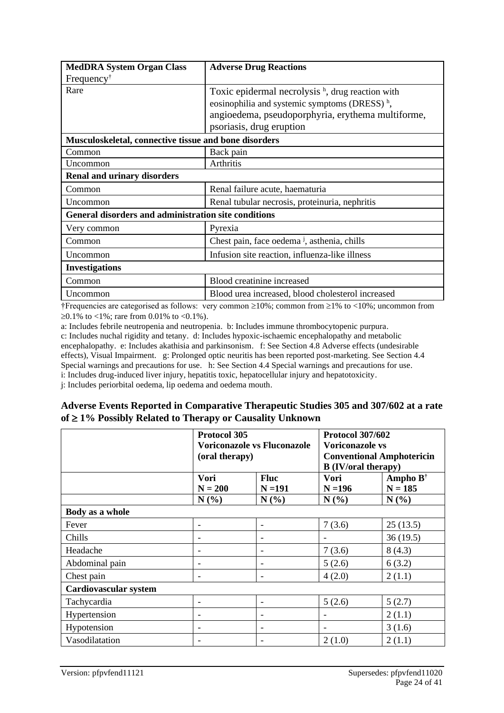| <b>MedDRA System Organ Class</b>                            | <b>Adverse Drug Reactions</b>                           |
|-------------------------------------------------------------|---------------------------------------------------------|
| Frequency <sup>†</sup>                                      |                                                         |
| Rare                                                        | Toxic epidermal necrolysis $h$ , drug reaction with     |
|                                                             | eosinophilia and systemic symptoms (DRESS) $h$ ,        |
|                                                             | angioedema, pseudoporphyria, erythema multiforme,       |
|                                                             | psoriasis, drug eruption                                |
| Musculoskeletal, connective tissue and bone disorders       |                                                         |
| Common                                                      | Back pain                                               |
| Uncommon                                                    | Arthritis                                               |
| <b>Renal and urinary disorders</b>                          |                                                         |
| Common                                                      | Renal failure acute, haematuria                         |
| Uncommon                                                    | Renal tubular necrosis, proteinuria, nephritis          |
| <b>General disorders and administration site conditions</b> |                                                         |
| Very common                                                 | Pyrexia                                                 |
| Common                                                      | Chest pain, face oedema <sup>j</sup> , asthenia, chills |
| Uncommon                                                    | Infusion site reaction, influenza-like illness          |
| <b>Investigations</b>                                       |                                                         |
| Common                                                      | Blood creatinine increased                              |
| Uncommon                                                    | Blood urea increased, blood cholesterol increased       |

†Frequencies are categorised as follows: very common  $\geq 10\%$ ; common from  $\geq 1\%$  to  $\lt 10\%$ ; uncommon from  $\geq 0.1\%$  to <1%; rare from 0.01% to <0.1%).

a: Includes febrile neutropenia and neutropenia. b: Includes immune thrombocytopenic purpura.

c: Includes nuchal rigidity and tetany. d: Includes hypoxic-ischaemic encephalopathy and metabolic encephalopathy. e: Includes akathisia and parkinsonism. f: See Section 4.8 Adverse effects (undesirable effects), Visual Impairment. g: Prolonged optic neuritis has been reported post-marketing. See Section 4.4 Special warnings and precautions for use. h: See Section 4.4 Special warnings and precautions for use. i: Includes drug-induced liver injury, hepatitis toxic, hepatocellular injury and hepatotoxicity.

j: Includes periorbital oedema, lip oedema and oedema mouth.

#### **Adverse Events Reported in Comparative Therapeutic Studies 305 and 307/602 at a rate of 1% Possibly Related to Therapy or Causality Unknown**

|                              | Protocol 305<br><b>Voriconazole vs Fluconazole</b><br>(oral therapy) |                   | <b>Protocol 307/602</b><br><b>Voriconazole vs</b><br><b>Conventional Amphotericin</b><br><b>B</b> (IV/oral therapy) |                     |
|------------------------------|----------------------------------------------------------------------|-------------------|---------------------------------------------------------------------------------------------------------------------|---------------------|
|                              | Vori                                                                 | <b>Fluc</b>       | Vori                                                                                                                | Ampho $B^{\dagger}$ |
|                              | $N = 200$<br>$N(\%)$                                                 | $N = 191$<br>N(%) | $N = 196$<br>$N(\%)$                                                                                                | $N = 185$<br>N(%)   |
| Body as a whole              |                                                                      |                   |                                                                                                                     |                     |
| Fever                        |                                                                      |                   | 7(3.6)                                                                                                              | 25(13.5)            |
| Chills                       |                                                                      |                   |                                                                                                                     | 36(19.5)            |
| Headache                     |                                                                      |                   | 7(3.6)                                                                                                              | 8(4.3)              |
| Abdominal pain               | $\qquad \qquad$                                                      |                   | 5(2.6)                                                                                                              | 6(3.2)              |
| Chest pain                   | $\qquad \qquad$                                                      |                   | 4(2.0)                                                                                                              | 2(1.1)              |
| <b>Cardiovascular system</b> |                                                                      |                   |                                                                                                                     |                     |
| Tachycardia                  |                                                                      |                   | 5(2.6)                                                                                                              | 5(2.7)              |
| Hypertension                 | $\qquad \qquad$                                                      |                   |                                                                                                                     | 2(1.1)              |
| Hypotension                  | $\qquad \qquad$                                                      |                   |                                                                                                                     | 3(1.6)              |
| Vasodilatation               |                                                                      |                   | 2(1.0)                                                                                                              | 2(1.1)              |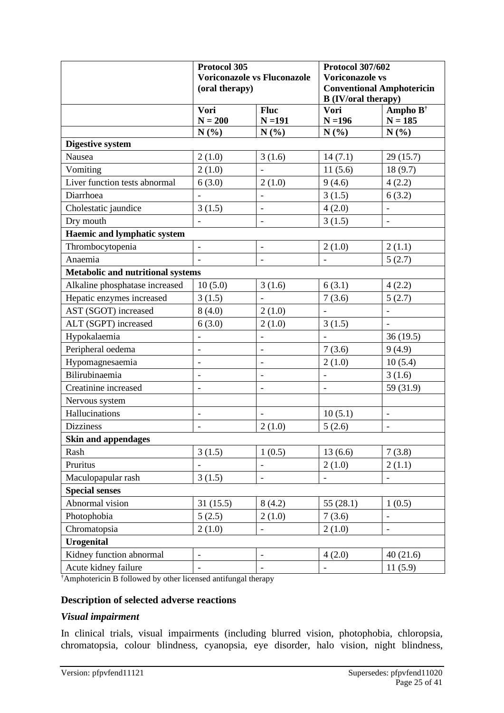|                                          | Protocol 305<br><b>Voriconazole vs Fluconazole</b> |                          | <b>Protocol 307/602</b><br><b>Voriconazole vs</b> |                              |  |
|------------------------------------------|----------------------------------------------------|--------------------------|---------------------------------------------------|------------------------------|--|
|                                          | (oral therapy)                                     |                          | <b>Conventional Amphotericin</b>                  |                              |  |
|                                          |                                                    |                          | <b>B</b> (IV/oral therapy)                        |                              |  |
|                                          | Vori                                               | <b>Fluc</b>              | Vori                                              | Ampho $B^{\dagger}$          |  |
|                                          | $N = 200$                                          | $N = 191$                | $N = 196$                                         | $N = 185$                    |  |
|                                          | N(%)                                               | N(%)                     | N(%)                                              | N(%)                         |  |
| <b>Digestive system</b>                  |                                                    |                          |                                                   |                              |  |
| Nausea                                   | 2(1.0)                                             | 3(1.6)                   | 14(7.1)                                           | 29(15.7)                     |  |
| Vomiting                                 | 2(1.0)                                             |                          | 11(5.6)                                           | 18(9.7)                      |  |
| Liver function tests abnormal            | 6(3.0)                                             | 2(1.0)                   | 9(4.6)                                            | 4(2.2)                       |  |
| Diarrhoea                                | $\overline{a}$                                     | $\qquad \qquad -$        | 3(1.5)                                            | 6(3.2)                       |  |
| Cholestatic jaundice                     | 3(1.5)                                             | $\overline{\phantom{a}}$ | 4(2.0)                                            |                              |  |
| Dry mouth                                |                                                    | $\overline{a}$           | 3(1.5)                                            |                              |  |
| <b>Haemic and lymphatic system</b>       |                                                    |                          |                                                   |                              |  |
| Thrombocytopenia                         | $\frac{1}{2}$                                      | $\overline{\phantom{a}}$ | 2(1.0)                                            | 2(1.1)                       |  |
| Anaemia                                  | $\blacksquare$                                     | $\overline{\phantom{a}}$ |                                                   | 5(2.7)                       |  |
| <b>Metabolic and nutritional systems</b> |                                                    |                          |                                                   |                              |  |
| Alkaline phosphatase increased           | 10(5.0)                                            | 3(1.6)                   | 6(3.1)                                            | 4(2.2)                       |  |
| Hepatic enzymes increased                | 3(1.5)                                             |                          | 7(3.6)                                            | 5(2.7)                       |  |
| AST (SGOT) increased                     | 8(4.0)                                             | 2(1.0)                   |                                                   |                              |  |
| ALT (SGPT) increased                     | 6(3.0)                                             | 2(1.0)                   | 3(1.5)                                            |                              |  |
| Hypokalaemia                             | -                                                  |                          |                                                   | 36(19.5)                     |  |
| Peripheral oedema                        | $\overline{a}$                                     | $\overline{\phantom{0}}$ | 7(3.6)                                            | 9(4.9)                       |  |
| Hypomagnesaemia                          | $\overline{a}$                                     | $\overline{\phantom{0}}$ | 2(1.0)                                            | 10(5.4)                      |  |
| Bilirubinaemia                           | $\overline{a}$                                     | $\qquad \qquad -$        | $\qquad \qquad \blacksquare$                      | 3(1.6)                       |  |
| Creatinine increased                     | $\overline{\phantom{0}}$                           |                          |                                                   | 59 (31.9)                    |  |
| Nervous system                           |                                                    |                          |                                                   |                              |  |
| Hallucinations                           | $\overline{\phantom{0}}$                           | $\overline{\phantom{a}}$ | 10(5.1)                                           |                              |  |
| <b>Dizziness</b>                         | $\qquad \qquad \blacksquare$                       | 2(1.0)                   | 5(2.6)                                            | $\qquad \qquad \blacksquare$ |  |
| <b>Skin and appendages</b>               |                                                    |                          |                                                   |                              |  |
| Rash                                     | 3(1.5)                                             | 1(0.5)                   | 13(6.6)                                           | 7(3.8)                       |  |
| Pruritus                                 |                                                    | $\qquad \qquad -$        | 2(1.0)                                            | 2(1.1)                       |  |
| Maculopapular rash                       | 3(1.5)                                             | $\blacksquare$           | $\frac{1}{2}$                                     | $\overline{\phantom{a}}$     |  |
| <b>Special senses</b>                    |                                                    |                          |                                                   |                              |  |
| Abnormal vision                          | 31(15.5)                                           | 8(4.2)                   | 55(28.1)                                          | 1(0.5)                       |  |
| Photophobia                              | 5(2.5)                                             | 2(1.0)                   | 7(3.6)                                            | $\overline{\phantom{a}}$     |  |
| Chromatopsia                             | 2(1.0)                                             | $\blacksquare$           | 2(1.0)                                            | $\overline{\phantom{a}}$     |  |
| <b>Urogenital</b>                        |                                                    |                          |                                                   |                              |  |
| Kidney function abnormal                 | $\overline{\phantom{0}}$                           | $\qquad \qquad -$        | 4(2.0)                                            | 40(21.6)                     |  |
| Acute kidney failure                     | $\overline{\phantom{0}}$                           | $\overline{\phantom{a}}$ |                                                   | 11(5.9)                      |  |

†Amphotericin B followed by other licensed antifungal therapy

### **Description of selected adverse reactions**

#### *Visual impairment*

In clinical trials, visual impairments (including blurred vision, photophobia, chloropsia, chromatopsia, colour blindness, cyanopsia, eye disorder, halo vision, night blindness,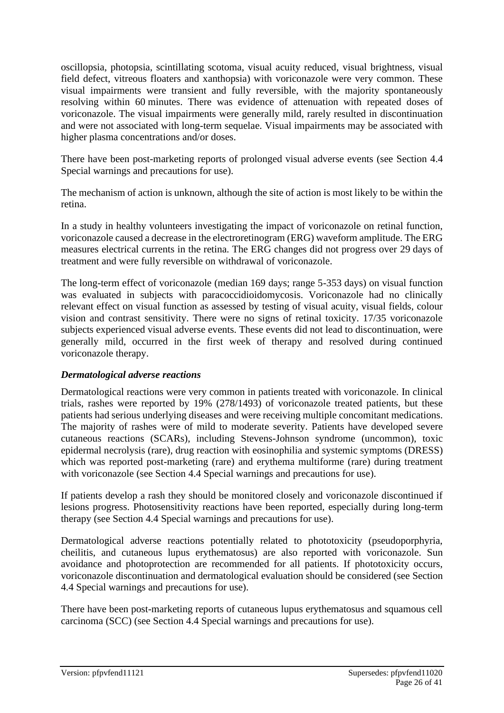oscillopsia, photopsia, scintillating scotoma, visual acuity reduced, visual brightness, visual field defect, vitreous floaters and xanthopsia) with voriconazole were very common. These visual impairments were transient and fully reversible, with the majority spontaneously resolving within 60 minutes. There was evidence of attenuation with repeated doses of voriconazole. The visual impairments were generally mild, rarely resulted in discontinuation and were not associated with long-term sequelae. Visual impairments may be associated with higher plasma concentrations and/or doses.

There have been post-marketing reports of prolonged visual adverse events (see Section 4.4 Special warnings and precautions for use).

The mechanism of action is unknown, although the site of action is most likely to be within the retina.

In a study in healthy volunteers investigating the impact of voriconazole on retinal function, voriconazole caused a decrease in the electroretinogram (ERG) waveform amplitude. The ERG measures electrical currents in the retina. The ERG changes did not progress over 29 days of treatment and were fully reversible on withdrawal of voriconazole.

The long-term effect of voriconazole (median 169 days; range 5-353 days) on visual function was evaluated in subjects with paracoccidioidomycosis. Voriconazole had no clinically relevant effect on visual function as assessed by testing of visual acuity, visual fields, colour vision and contrast sensitivity. There were no signs of retinal toxicity. 17/35 voriconazole subjects experienced visual adverse events. These events did not lead to discontinuation, were generally mild, occurred in the first week of therapy and resolved during continued voriconazole therapy.

#### *Dermatological adverse reactions*

Dermatological reactions were very common in patients treated with voriconazole. In clinical trials, rashes were reported by 19% (278/1493) of voriconazole treated patients, but these patients had serious underlying diseases and were receiving multiple concomitant medications. The majority of rashes were of mild to moderate severity. Patients have developed severe cutaneous reactions (SCARs), including Stevens-Johnson syndrome (uncommon), toxic epidermal necrolysis (rare), drug reaction with eosinophilia and systemic symptoms (DRESS) which was reported post-marketing (rare) and erythema multiforme (rare) during treatment with voriconazole (see Section 4.4 Special warnings and precautions for use).

If patients develop a rash they should be monitored closely and voriconazole discontinued if lesions progress. Photosensitivity reactions have been reported, especially during long-term therapy (see Section 4.4 Special warnings and precautions for use).

Dermatological adverse reactions potentially related to phototoxicity (pseudoporphyria, cheilitis, and cutaneous lupus erythematosus) are also reported with voriconazole. Sun avoidance and photoprotection are recommended for all patients. If phototoxicity occurs, voriconazole discontinuation and dermatological evaluation should be considered (see Section 4.4 Special warnings and precautions for use).

There have been post-marketing reports of cutaneous lupus erythematosus and squamous cell carcinoma (SCC) (see Section 4.4 Special warnings and precautions for use).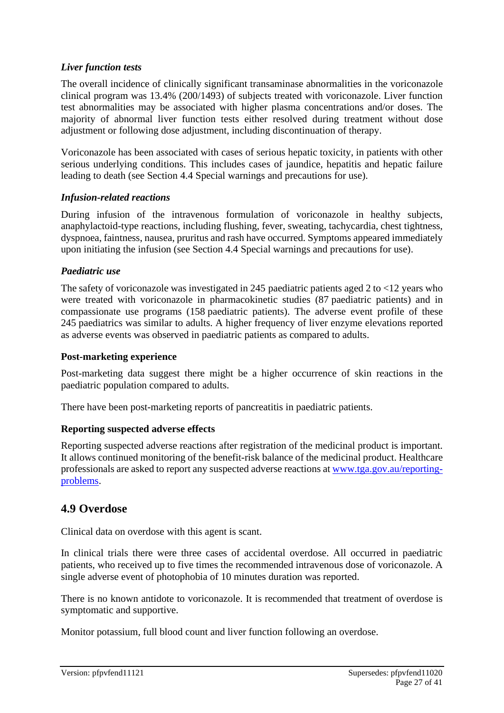#### *Liver function tests*

The overall incidence of clinically significant transaminase abnormalities in the voriconazole clinical program was 13.4% (200/1493) of subjects treated with voriconazole. Liver function test abnormalities may be associated with higher plasma concentrations and/or doses. The majority of abnormal liver function tests either resolved during treatment without dose adjustment or following dose adjustment, including discontinuation of therapy.

Voriconazole has been associated with cases of serious hepatic toxicity, in patients with other serious underlying conditions. This includes cases of jaundice, hepatitis and hepatic failure leading to death (see Section 4.4 Special warnings and precautions for use).

#### *Infusion-related reactions*

During infusion of the intravenous formulation of voriconazole in healthy subjects, anaphylactoid-type reactions, including flushing, fever, sweating, tachycardia, chest tightness, dyspnoea, faintness, nausea, pruritus and rash have occurred. Symptoms appeared immediately upon initiating the infusion (see Section 4.4 Special warnings and precautions for use).

#### *Paediatric use*

The safety of voriconazole was investigated in 245 paediatric patients aged 2 to <12 years who were treated with voriconazole in pharmacokinetic studies (87 paediatric patients) and in compassionate use programs (158 paediatric patients). The adverse event profile of these 245 paediatrics was similar to adults. A higher frequency of liver enzyme elevations reported as adverse events was observed in paediatric patients as compared to adults.

#### **Post-marketing experience**

Post-marketing data suggest there might be a higher occurrence of skin reactions in the paediatric population compared to adults.

There have been post-marketing reports of pancreatitis in paediatric patients.

# **Reporting suspected adverse effects**

Reporting suspected adverse reactions after registration of the medicinal product is important. It allows continued monitoring of the benefit-risk balance of the medicinal product. Healthcare professionals are asked to report any suspected adverse reactions at [www.tga.gov.au/reporting](http://www.tga.gov.au/reporting-problems)[problems.](http://www.tga.gov.au/reporting-problems)

# **4.9 Overdose**

Clinical data on overdose with this agent is scant.

In clinical trials there were three cases of accidental overdose. All occurred in paediatric patients, who received up to five times the recommended intravenous dose of voriconazole. A single adverse event of photophobia of 10 minutes duration was reported.

There is no known antidote to voriconazole. It is recommended that treatment of overdose is symptomatic and supportive.

Monitor potassium, full blood count and liver function following an overdose.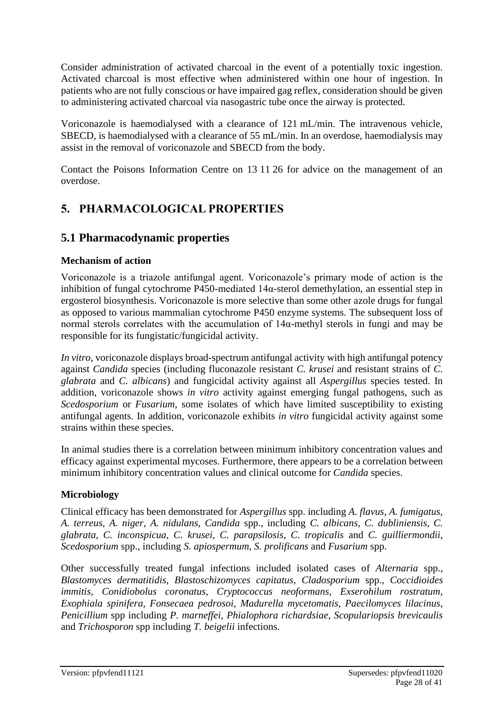Consider administration of activated charcoal in the event of a potentially toxic ingestion. Activated charcoal is most effective when administered within one hour of ingestion. In patients who are not fully conscious or have impaired gag reflex, consideration should be given to administering activated charcoal via nasogastric tube once the airway is protected.

Voriconazole is haemodialysed with a clearance of 121 mL/min. The intravenous vehicle, SBECD, is haemodialysed with a clearance of 55 mL/min. In an overdose, haemodialysis may assist in the removal of voriconazole and SBECD from the body.

Contact the Poisons Information Centre on 13 11 26 for advice on the management of an overdose.

# **5. PHARMACOLOGICAL PROPERTIES**

# **5.1 Pharmacodynamic properties**

# **Mechanism of action**

Voriconazole is a triazole antifungal agent. Voriconazole's primary mode of action is the inhibition of fungal cytochrome P450-mediated 14α-sterol demethylation, an essential step in ergosterol biosynthesis. Voriconazole is more selective than some other azole drugs for fungal as opposed to various mammalian cytochrome P450 enzyme systems. The subsequent loss of normal sterols correlates with the accumulation of 14α-methyl sterols in fungi and may be responsible for its fungistatic/fungicidal activity.

*In vitro*, voriconazole displays broad-spectrum antifungal activity with high antifungal potency against *Candida* species (including fluconazole resistant *C. krusei* and resistant strains of *C. glabrata* and *C. albicans*) and fungicidal activity against all *Aspergillus* species tested. In addition, voriconazole shows *in vitro* activity against emerging fungal pathogens, such as *Scedosporium* or *Fusarium*, some isolates of which have limited susceptibility to existing antifungal agents. In addition, voriconazole exhibits *in vitro* fungicidal activity against some strains within these species.

In animal studies there is a correlation between minimum inhibitory concentration values and efficacy against experimental mycoses. Furthermore, there appears to be a correlation between minimum inhibitory concentration values and clinical outcome for *Candida* species.

# **Microbiology**

Clinical efficacy has been demonstrated for *Aspergillus* spp. including *A. flavus, A. fumigatus, A. terreus, A. niger, A. nidulans, Candida* spp., including *C. albicans, C. dubliniensis, C. glabrata, C. inconspicua, C. krusei, C. parapsilosis, C. tropicalis* and *C. guilliermondii, Scedosporium* spp., including *S. apiospermum, S. prolificans* and *Fusarium* spp.

Other successfully treated fungal infections included isolated cases of *Alternaria* spp., *Blastomyces dermatitidis*, *Blastoschizomyces capitatus*, *Cladosporium* spp., *Coccidioides immitis, Conidiobolus coronatus, Cryptococcus neoformans, Exserohilum rostratum, Exophiala spinifera, Fonsecaea pedrosoi, Madurella mycetomatis, Paecilomyces lilacinus*, *Penicillium* spp including *P. marneffei*, *Phialophora richardsiae*, *Scopulariopsis brevicaulis* and *Trichosporon* spp including *T. beigelii* infections.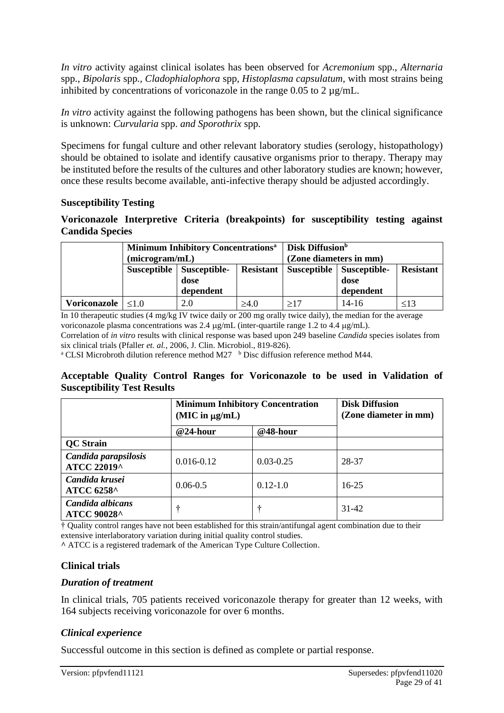*In vitro* activity against clinical isolates has been observed for *Acremonium* spp., *Alternaria*  spp., *Bipolaris* spp*., Cladophialophora* spp*, Histoplasma capsulatum,* with most strains being inhibited by concentrations of voriconazole in the range  $0.05$  to  $2 \mu g/mL$ .

*In vitro* activity against the following pathogens has been shown, but the clinical significance is unknown: *Curvularia* spp. *and Sporothrix* spp.

Specimens for fungal culture and other relevant laboratory studies (serology, histopathology) should be obtained to isolate and identify causative organisms prior to therapy. Therapy may be instituted before the results of the cultures and other laboratory studies are known; however, once these results become available, anti-infective therapy should be adjusted accordingly.

#### **Susceptibility Testing**

#### **Voriconazole Interpretive Criteria (breakpoints) for susceptibility testing against Candida Species**

|              | (microgram/mL) | <b>Minimum Inhibitory Concentrations<sup>a</sup></b> | <b>Disk Diffusion</b> b<br>(Zone diameters in mm) |     |                                                       |                  |
|--------------|----------------|------------------------------------------------------|---------------------------------------------------|-----|-------------------------------------------------------|------------------|
|              |                | Susceptible   Susceptible-<br>dose                   |                                                   |     | <b>Resistant   Susceptible   Susceptible-</b><br>dose | <b>Resistant</b> |
|              |                | dependent                                            |                                                   |     | dependent                                             |                  |
| Voriconazole | $\leq 1.0$     | 2.0                                                  | $\geq 4.0$                                        | >17 | $14-16$                                               | < 13             |

In 10 therapeutic studies (4 mg/kg IV twice daily or 200 mg orally twice daily), the median for the average voriconazole plasma concentrations was 2.4  $\mu$ g/mL (inter-quartile range 1.2 to 4.4  $\mu$ g/mL).

Correlation of *in vitro* results with clinical response was based upon 249 baseline *Candida* species isolates from six clinical trials (Pfaller *et. al.*, 2006, J. Clin. Microbiol., 819-826).

<sup>a</sup> CLSI Microbroth dilution reference method M27  $\,^{\circ}$  Disc diffusion reference method M44.

#### **Acceptable Quality Control Ranges for Voriconazole to be used in Validation of Susceptibility Test Results**

|                                        | <b>Minimum Inhibitory Concentration</b><br>$(MIC$ in $\mu g/mL)$ |               | <b>Disk Diffusion</b><br>(Zone diameter in mm) |  |
|----------------------------------------|------------------------------------------------------------------|---------------|------------------------------------------------|--|
|                                        | @24-hour                                                         | @48-hour      |                                                |  |
| <b>QC</b> Strain                       |                                                                  |               |                                                |  |
| Candida parapsilosis<br>ATCC 22019^    | $0.016 - 0.12$                                                   | $0.03 - 0.25$ | 28-37                                          |  |
| Candida krusei<br><b>ATCC 6258^</b>    | $0.06 - 0.5$                                                     | $0.12 - 1.0$  | $16 - 25$                                      |  |
| Candida albicans<br><b>ATCC 90028^</b> | ÷                                                                | ÷             | $31-42$                                        |  |

† Quality control ranges have not been established for this strain/antifungal agent combination due to their extensive interlaboratory variation during initial quality control studies.

**^** ATCC is a registered trademark of the American Type Culture Collection.

#### **Clinical trials**

#### *Duration of treatment*

In clinical trials, 705 patients received voriconazole therapy for greater than 12 weeks, with 164 subjects receiving voriconazole for over 6 months.

#### *Clinical experience*

Successful outcome in this section is defined as complete or partial response.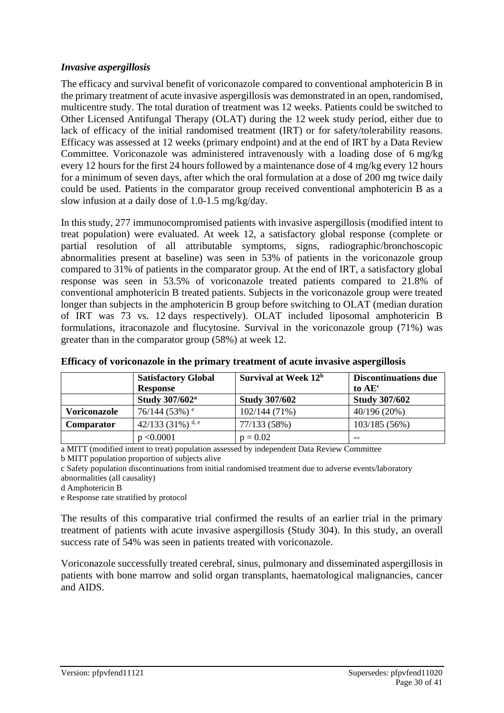#### *Invasive aspergillosis*

The efficacy and survival benefit of voriconazole compared to conventional amphotericin B in the primary treatment of acute invasive aspergillosis was demonstrated in an open, randomised, multicentre study. The total duration of treatment was 12 weeks. Patients could be switched to Other Licensed Antifungal Therapy (OLAT) during the 12 week study period, either due to lack of efficacy of the initial randomised treatment (IRT) or for safety/tolerability reasons. Efficacy was assessed at 12 weeks (primary endpoint) and at the end of IRT by a Data Review Committee. Voriconazole was administered intravenously with a loading dose of 6 mg/kg every 12 hours for the first 24 hours followed by a maintenance dose of 4 mg/kg every 12 hours for a minimum of seven days, after which the oral formulation at a dose of 200 mg twice daily could be used. Patients in the comparator group received conventional amphotericin B as a slow infusion at a daily dose of 1.0-1.5 mg/kg/day.

In this study, 277 immunocompromised patients with invasive aspergillosis (modified intent to treat population) were evaluated. At week 12, a satisfactory global response (complete or partial resolution of all attributable symptoms, signs, radiographic/bronchoscopic abnormalities present at baseline) was seen in 53% of patients in the voriconazole group compared to 31% of patients in the comparator group. At the end of IRT, a satisfactory global response was seen in 53.5% of voriconazole treated patients compared to 21.8% of conventional amphotericin B treated patients. Subjects in the voriconazole group were treated longer than subjects in the amphotericin B group before switching to OLAT (median duration of IRT was 73 vs. 12 days respectively). OLAT included liposomal amphotericin B formulations, itraconazole and flucytosine. Survival in the voriconazole group (71%) was greater than in the comparator group (58%) at week 12.

|                     | <b>Satisfactory Global</b>  | Survival at Week $12b$ | <b>Discontinuations due</b> |
|---------------------|-----------------------------|------------------------|-----------------------------|
|                     | <b>Response</b>             |                        | to AE <sup>c</sup>          |
|                     | Study 307/602 <sup>a</sup>  | <b>Study 307/602</b>   | <b>Study 307/602</b>        |
| <b>Voriconazole</b> | $76/144$ (53%) <sup>e</sup> | $102/144(71\%)$        | 40/196(20%)                 |
| Comparator          | 42/133 (31%) d, e           | 77/133 (58%)           | 103/185(56%)                |
|                     | p < 0.0001                  | $p = 0.02$             | $ -$                        |

#### **Efficacy of voriconazole in the primary treatment of acute invasive aspergillosis**

a MITT (modified intent to treat) population assessed by independent Data Review Committee

b MITT population proportion of subjects alive

c Safety population discontinuations from initial randomised treatment due to adverse events/laboratory abnormalities (all causality)

d Amphotericin B

e Response rate stratified by protocol

The results of this comparative trial confirmed the results of an earlier trial in the primary treatment of patients with acute invasive aspergillosis (Study 304). In this study, an overall success rate of 54% was seen in patients treated with voriconazole.

Voriconazole successfully treated cerebral, sinus, pulmonary and disseminated aspergillosis in patients with bone marrow and solid organ transplants, haematological malignancies, cancer and AIDS.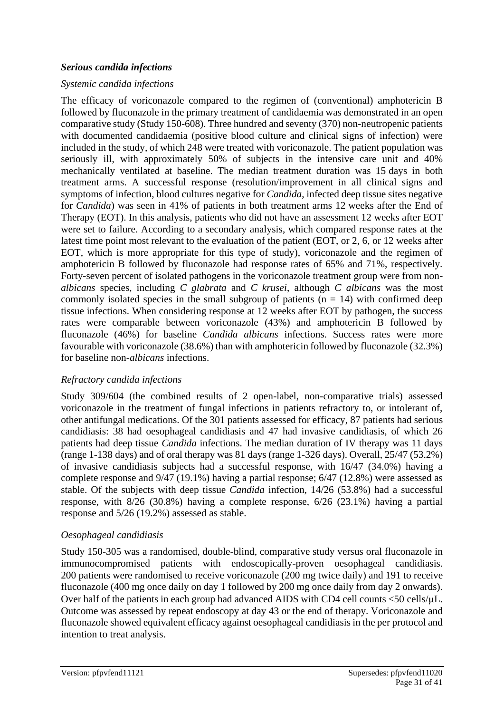#### *Serious candida infections*

#### *Systemic candida infections*

The efficacy of voriconazole compared to the regimen of (conventional) amphotericin B followed by fluconazole in the primary treatment of candidaemia was demonstrated in an open comparative study (Study 150-608). Three hundred and seventy (370) non-neutropenic patients with documented candidaemia (positive blood culture and clinical signs of infection) were included in the study, of which 248 were treated with voriconazole. The patient population was seriously ill, with approximately 50% of subjects in the intensive care unit and 40% mechanically ventilated at baseline. The median treatment duration was 15 days in both treatment arms. A successful response (resolution/improvement in all clinical signs and symptoms of infection, blood cultures negative for *Candida*, infected deep tissue sites negative for *Candida*) was seen in 41% of patients in both treatment arms 12 weeks after the End of Therapy (EOT). In this analysis, patients who did not have an assessment 12 weeks after EOT were set to failure. According to a secondary analysis, which compared response rates at the latest time point most relevant to the evaluation of the patient (EOT, or 2, 6, or 12 weeks after EOT, which is more appropriate for this type of study), voriconazole and the regimen of amphotericin B followed by fluconazole had response rates of 65% and 71%, respectively. Forty-seven percent of isolated pathogens in the voriconazole treatment group were from non*albicans* species, including *C glabrata* and *C krusei*, although *C albicans* was the most commonly isolated species in the small subgroup of patients  $(n = 14)$  with confirmed deep tissue infections. When considering response at 12 weeks after EOT by pathogen, the success rates were comparable between voriconazole (43%) and amphotericin B followed by fluconazole (46%) for baseline *Candida albicans* infections. Success rates were more favourable with voriconazole (38.6%) than with amphotericin followed by fluconazole (32.3%) for baseline non-*albicans* infections.

#### *Refractory candida infections*

Study 309/604 (the combined results of 2 open-label, non-comparative trials) assessed voriconazole in the treatment of fungal infections in patients refractory to, or intolerant of, other antifungal medications. Of the 301 patients assessed for efficacy, 87 patients had serious candidiasis: 38 had oesophageal candidiasis and 47 had invasive candidiasis, of which 26 patients had deep tissue *Candida* infections. The median duration of IV therapy was 11 days (range 1-138 days) and of oral therapy was 81 days (range 1-326 days). Overall, 25/47 (53.2%) of invasive candidiasis subjects had a successful response, with 16/47 (34.0%) having a complete response and 9/47 (19.1%) having a partial response; 6/47 (12.8%) were assessed as stable. Of the subjects with deep tissue *Candida* infection, 14/26 (53.8%) had a successful response, with 8/26 (30.8%) having a complete response, 6/26 (23.1%) having a partial response and 5/26 (19.2%) assessed as stable.

# *Oesophageal candidiasis*

Study 150-305 was a randomised, double-blind, comparative study versus oral fluconazole in immunocompromised patients with endoscopically-proven oesophageal candidiasis. 200 patients were randomised to receive voriconazole (200 mg twice daily) and 191 to receive fluconazole (400 mg once daily on day 1 followed by 200 mg once daily from day 2 onwards). Over half of the patients in each group had advanced AIDS with CD4 cell counts  $\langle 50 \text{ cells/}\mu L$ . Outcome was assessed by repeat endoscopy at day 43 or the end of therapy. Voriconazole and fluconazole showed equivalent efficacy against oesophageal candidiasis in the per protocol and intention to treat analysis.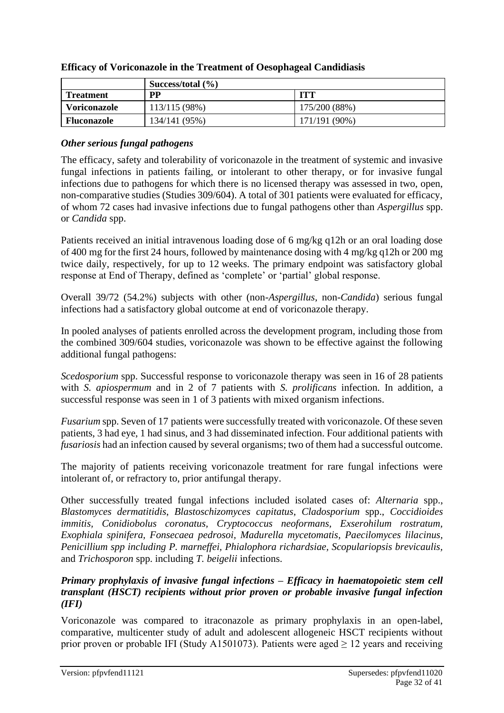|                    | Success/total $(\% )$ |               |
|--------------------|-----------------------|---------------|
| <b>Treatment</b>   | <b>PP</b>             | ITT           |
| Voriconazole       | 113/115 (98%)         | 175/200 (88%) |
| <b>Fluconazole</b> | 134/141 (95%)         | 171/191 (90%) |

#### **Efficacy of Voriconazole in the Treatment of Oesophageal Candidiasis**

# *Other serious fungal pathogens*

The efficacy, safety and tolerability of voriconazole in the treatment of systemic and invasive fungal infections in patients failing, or intolerant to other therapy, or for invasive fungal infections due to pathogens for which there is no licensed therapy was assessed in two, open, non-comparative studies (Studies 309/604). A total of 301 patients were evaluated for efficacy, of whom 72 cases had invasive infections due to fungal pathogens other than *Aspergillus* spp. or *Candida* spp.

Patients received an initial intravenous loading dose of 6 mg/kg q12h or an oral loading dose of 400 mg for the first 24 hours, followed by maintenance dosing with 4 mg/kg q12h or 200 mg twice daily, respectively, for up to 12 weeks. The primary endpoint was satisfactory global response at End of Therapy, defined as 'complete' or 'partial' global response.

Overall 39/72 (54.2%) subjects with other (non-*Aspergillus*, non-*Candida*) serious fungal infections had a satisfactory global outcome at end of voriconazole therapy.

In pooled analyses of patients enrolled across the development program, including those from the combined 309/604 studies, voriconazole was shown to be effective against the following additional fungal pathogens:

*Scedosporium* spp. Successful response to voriconazole therapy was seen in 16 of 28 patients with *S. apiospermum* and in 2 of 7 patients with *S. prolificans* infection. In addition, a successful response was seen in 1 of 3 patients with mixed organism infections.

*Fusarium* spp. Seven of 17 patients were successfully treated with voriconazole. Of these seven patients, 3 had eye, 1 had sinus, and 3 had disseminated infection. Four additional patients with *fusariosis* had an infection caused by several organisms; two of them had a successful outcome.

The majority of patients receiving voriconazole treatment for rare fungal infections were intolerant of, or refractory to, prior antifungal therapy.

Other successfully treated fungal infections included isolated cases of: *Alternaria* spp., *Blastomyces dermatitidis*, *Blastoschizomyces capitatus*, *Cladosporium* spp., *Coccidioides immitis, Conidiobolus coronatus, Cryptococcus neoformans, Exserohilum rostratum, Exophiala spinifera, Fonsecaea pedrosoi, Madurella mycetomatis, Paecilomyces lilacinus, Penicillium spp including P. marneffei, Phialophora richardsiae, Scopulariopsis brevicaulis,*  and *Trichosporon* spp. including *T. beigelii* infections.

#### *Primary prophylaxis of invasive fungal infections – Efficacy in haematopoietic stem cell transplant (HSCT) recipients without prior proven or probable invasive fungal infection (IFI)*

Voriconazole was compared to itraconazole as primary prophylaxis in an open-label, comparative, multicenter study of adult and adolescent allogeneic HSCT recipients without prior proven or probable IFI (Study A1501073). Patients were aged  $> 12$  years and receiving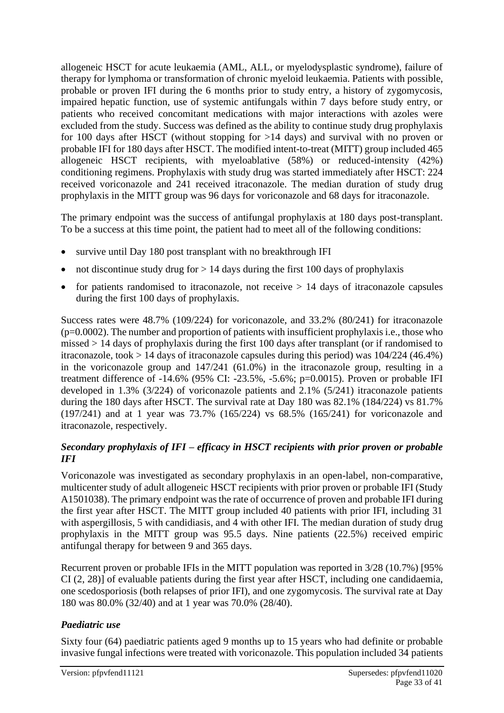allogeneic HSCT for acute leukaemia (AML, ALL, or myelodysplastic syndrome), failure of therapy for lymphoma or transformation of chronic myeloid leukaemia. Patients with possible, probable or proven IFI during the 6 months prior to study entry, a history of zygomycosis, impaired hepatic function, use of systemic antifungals within 7 days before study entry, or patients who received concomitant medications with major interactions with azoles were excluded from the study. Success was defined as the ability to continue study drug prophylaxis for 100 days after HSCT (without stopping for  $>14$  days) and survival with no proven or probable IFI for 180 days after HSCT. The modified intent-to-treat (MITT) group included 465 allogeneic HSCT recipients, with myeloablative (58%) or reduced-intensity (42%) conditioning regimens. Prophylaxis with study drug was started immediately after HSCT: 224 received voriconazole and 241 received itraconazole. The median duration of study drug prophylaxis in the MITT group was 96 days for voriconazole and 68 days for itraconazole.

The primary endpoint was the success of antifungal prophylaxis at 180 days post-transplant. To be a success at this time point, the patient had to meet all of the following conditions:

- survive until Day 180 post transplant with no breakthrough IFI
- not discontinue study drug for  $> 14$  days during the first 100 days of prophylaxis
- for patients randomised to itraconazole, not receive  $> 14$  days of itraconazole capsules during the first 100 days of prophylaxis.

Success rates were 48.7% (109/224) for voriconazole, and 33.2% (80/241) for itraconazole  $(p=0.0002)$ . The number and proportion of patients with insufficient prophylaxis i.e., those who missed > 14 days of prophylaxis during the first 100 days after transplant (or if randomised to itraconazole, took > 14 days of itraconazole capsules during this period) was 104/224 (46.4%) in the voriconazole group and 147/241 (61.0%) in the itraconazole group, resulting in a treatment difference of -14.6% (95% CI: -23.5%, -5.6%; p=0.0015). Proven or probable IFI developed in 1.3% (3/224) of voriconazole patients and 2.1% (5/241) itraconazole patients during the 180 days after HSCT. The survival rate at Day 180 was 82.1% (184/224) vs 81.7% (197/241) and at 1 year was 73.7% (165/224) vs 68.5% (165/241) for voriconazole and itraconazole, respectively.

# *Secondary prophylaxis of IFI – efficacy in HSCT recipients with prior proven or probable IFI*

Voriconazole was investigated as secondary prophylaxis in an open-label, non-comparative, multicenter study of adult allogeneic HSCT recipients with prior proven or probable IFI (Study A1501038). The primary endpoint was the rate of occurrence of proven and probable IFI during the first year after HSCT. The MITT group included 40 patients with prior IFI, including 31 with aspergillosis, 5 with candidiasis, and 4 with other IFI. The median duration of study drug prophylaxis in the MITT group was 95.5 days. Nine patients (22.5%) received empiric antifungal therapy for between 9 and 365 days.

Recurrent proven or probable IFIs in the MITT population was reported in 3/28 (10.7%) [95% CI (2, 28)] of evaluable patients during the first year after HSCT, including one candidaemia, one scedosporiosis (both relapses of prior IFI), and one zygomycosis. The survival rate at Day 180 was 80.0% (32/40) and at 1 year was 70.0% (28/40).

# *Paediatric use*

Sixty four (64) paediatric patients aged 9 months up to 15 years who had definite or probable invasive fungal infections were treated with voriconazole. This population included 34 patients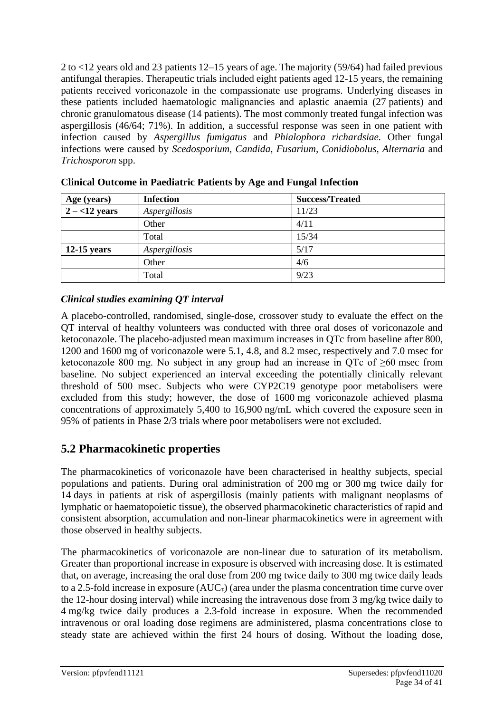2 to <12 years old and 23 patients 12–15 years of age. The majority (59/64) had failed previous antifungal therapies. Therapeutic trials included eight patients aged 12-15 years, the remaining patients received voriconazole in the compassionate use programs. Underlying diseases in these patients included haematologic malignancies and aplastic anaemia (27 patients) and chronic granulomatous disease (14 patients). The most commonly treated fungal infection was aspergillosis (46/64; 71%). In addition, a successful response was seen in one patient with infection caused by *Aspergillus fumigatus* and *Phialophora richardsiae.* Other fungal infections were caused by *Scedosporium, Candida, Fusarium, Conidiobolus, Alternaria* and *Trichosporon* spp.

| Age (years)      | <b>Infection</b> | <b>Success/Treated</b> |
|------------------|------------------|------------------------|
| $2 - < 12$ years | Aspergillosis    | 11/23                  |
|                  | Other            | 4/11                   |
|                  | Total            | 15/34                  |
| $12-15$ years    | Aspergillosis    | 5/17                   |
|                  | Other            | 4/6                    |
|                  | Total            | 9/23                   |

|  |  |  |  | <b>Clinical Outcome in Paediatric Patients by Age and Fungal Infection</b> |
|--|--|--|--|----------------------------------------------------------------------------|
|--|--|--|--|----------------------------------------------------------------------------|

# *Clinical studies examining QT interval*

A placebo-controlled, randomised, single-dose, crossover study to evaluate the effect on the QT interval of healthy volunteers was conducted with three oral doses of voriconazole and ketoconazole. The placebo-adjusted mean maximum increases in QTc from baseline after 800, 1200 and 1600 mg of voriconazole were 5.1, 4.8, and 8.2 msec, respectively and 7.0 msec for ketoconazole 800 mg. No subject in any group had an increase in QTc of  $\geq 60$  msec from baseline. No subject experienced an interval exceeding the potentially clinically relevant threshold of 500 msec. Subjects who were CYP2C19 genotype poor metabolisers were excluded from this study; however, the dose of 1600 mg voriconazole achieved plasma concentrations of approximately 5,400 to 16,900 ng/mL which covered the exposure seen in 95% of patients in Phase 2/3 trials where poor metabolisers were not excluded.

# **5.2 Pharmacokinetic properties**

The pharmacokinetics of voriconazole have been characterised in healthy subjects, special populations and patients. During oral administration of 200 mg or 300 mg twice daily for 14 days in patients at risk of aspergillosis (mainly patients with malignant neoplasms of lymphatic or haematopoietic tissue), the observed pharmacokinetic characteristics of rapid and consistent absorption, accumulation and non-linear pharmacokinetics were in agreement with those observed in healthy subjects.

The pharmacokinetics of voriconazole are non-linear due to saturation of its metabolism. Greater than proportional increase in exposure is observed with increasing dose. It is estimated that, on average, increasing the oral dose from 200 mg twice daily to 300 mg twice daily leads to a 2.5-fold increase in exposure  $(AUC_{\tau})$  (area under the plasma concentration time curve over the 12-hour dosing interval) while increasing the intravenous dose from 3 mg/kg twice daily to 4 mg/kg twice daily produces a 2.3-fold increase in exposure. When the recommended intravenous or oral loading dose regimens are administered, plasma concentrations close to steady state are achieved within the first 24 hours of dosing. Without the loading dose,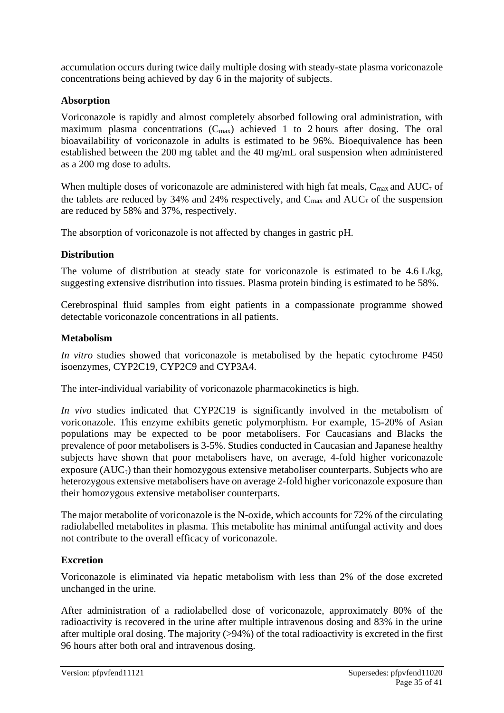accumulation occurs during twice daily multiple dosing with steady-state plasma voriconazole concentrations being achieved by day 6 in the majority of subjects.

# **Absorption**

Voriconazole is rapidly and almost completely absorbed following oral administration, with maximum plasma concentrations  $(C_{max})$  achieved 1 to 2 hours after dosing. The oral bioavailability of voriconazole in adults is estimated to be 96%. Bioequivalence has been established between the 200 mg tablet and the 40 mg/mL oral suspension when administered as a 200 mg dose to adults.

When multiple doses of voriconazole are administered with high fat meals,  $C_{\text{max}}$  and  $AUC_{\tau}$  of the tablets are reduced by 34% and 24% respectively, and  $C_{\text{max}}$  and  $AUC_{\tau}$  of the suspension are reduced by 58% and 37%, respectively.

The absorption of voriconazole is not affected by changes in gastric pH.

# **Distribution**

The volume of distribution at steady state for voriconazole is estimated to be 4.6 L/kg, suggesting extensive distribution into tissues. Plasma protein binding is estimated to be 58%.

Cerebrospinal fluid samples from eight patients in a compassionate programme showed detectable voriconazole concentrations in all patients.

# **Metabolism**

*In vitro* studies showed that voriconazole is metabolised by the hepatic cytochrome P450 isoenzymes, CYP2C19, CYP2C9 and CYP3A4.

The inter-individual variability of voriconazole pharmacokinetics is high.

*In vivo* studies indicated that CYP2C19 is significantly involved in the metabolism of voriconazole. This enzyme exhibits genetic polymorphism. For example, 15-20% of Asian populations may be expected to be poor metabolisers. For Caucasians and Blacks the prevalence of poor metabolisers is 3-5%. Studies conducted in Caucasian and Japanese healthy subjects have shown that poor metabolisers have, on average, 4-fold higher voriconazole exposure  $(AUC_{\tau})$  than their homozygous extensive metaboliser counterparts. Subjects who are heterozygous extensive metabolisers have on average 2-fold higher voriconazole exposure than their homozygous extensive metaboliser counterparts.

The major metabolite of voriconazole is the N-oxide, which accounts for 72% of the circulating radiolabelled metabolites in plasma. This metabolite has minimal antifungal activity and does not contribute to the overall efficacy of voriconazole.

# **Excretion**

Voriconazole is eliminated via hepatic metabolism with less than 2% of the dose excreted unchanged in the urine.

After administration of a radiolabelled dose of voriconazole, approximately 80% of the radioactivity is recovered in the urine after multiple intravenous dosing and 83% in the urine after multiple oral dosing. The majority (>94%) of the total radioactivity is excreted in the first 96 hours after both oral and intravenous dosing.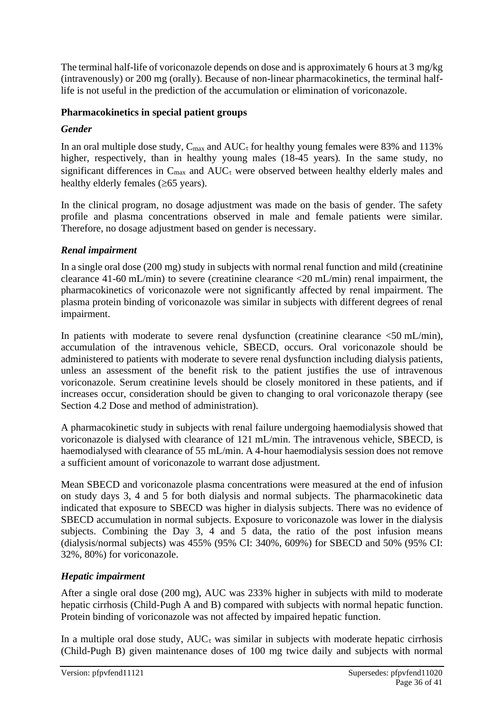The terminal half-life of voriconazole depends on dose and is approximately 6 hours at 3 mg/kg (intravenously) or 200 mg (orally). Because of non-linear pharmacokinetics, the terminal halflife is not useful in the prediction of the accumulation or elimination of voriconazole.

# **Pharmacokinetics in special patient groups**

# *Gender*

In an oral multiple dose study,  $C_{\text{max}}$  and  $AUC_{\tau}$  for healthy young females were 83% and 113% higher, respectively, than in healthy young males (18-45 years)*.* In the same study, no significant differences in  $C_{\text{max}}$  and  $AUC_{\tau}$  were observed between healthy elderly males and healthy elderly females  $(\geq 65$  years).

In the clinical program, no dosage adjustment was made on the basis of gender. The safety profile and plasma concentrations observed in male and female patients were similar. Therefore, no dosage adjustment based on gender is necessary.

# *Renal impairment*

In a single oral dose (200 mg) study in subjects with normal renal function and mild (creatinine clearance 41-60 mL/min) to severe (creatinine clearance <20 mL/min) renal impairment, the pharmacokinetics of voriconazole were not significantly affected by renal impairment. The plasma protein binding of voriconazole was similar in subjects with different degrees of renal impairment.

In patients with moderate to severe renal dysfunction (creatinine clearance  $\leq 50$  mL/min), accumulation of the intravenous vehicle, SBECD, occurs. Oral voriconazole should be administered to patients with moderate to severe renal dysfunction including dialysis patients, unless an assessment of the benefit risk to the patient justifies the use of intravenous voriconazole. Serum creatinine levels should be closely monitored in these patients, and if increases occur, consideration should be given to changing to oral voriconazole therapy (see Section 4.2 Dose and method of administration).

A pharmacokinetic study in subjects with renal failure undergoing haemodialysis showed that voriconazole is dialysed with clearance of 121 mL/min. The intravenous vehicle, SBECD, is haemodialysed with clearance of 55 mL/min. A 4-hour haemodialysis session does not remove a sufficient amount of voriconazole to warrant dose adjustment.

Mean SBECD and voriconazole plasma concentrations were measured at the end of infusion on study days 3, 4 and 5 for both dialysis and normal subjects. The pharmacokinetic data indicated that exposure to SBECD was higher in dialysis subjects. There was no evidence of SBECD accumulation in normal subjects. Exposure to voriconazole was lower in the dialysis subjects. Combining the Day 3, 4 and 5 data, the ratio of the post infusion means (dialysis/normal subjects) was 455% (95% CI: 340%, 609%) for SBECD and 50% (95% CI: 32%, 80%) for voriconazole.

# *Hepatic impairment*

After a single oral dose (200 mg), AUC was 233% higher in subjects with mild to moderate hepatic cirrhosis (Child-Pugh A and B) compared with subjects with normal hepatic function. Protein binding of voriconazole was not affected by impaired hepatic function.

In a multiple oral dose study,  $AUC_{\tau}$  was similar in subjects with moderate hepatic cirrhosis (Child-Pugh B) given maintenance doses of 100 mg twice daily and subjects with normal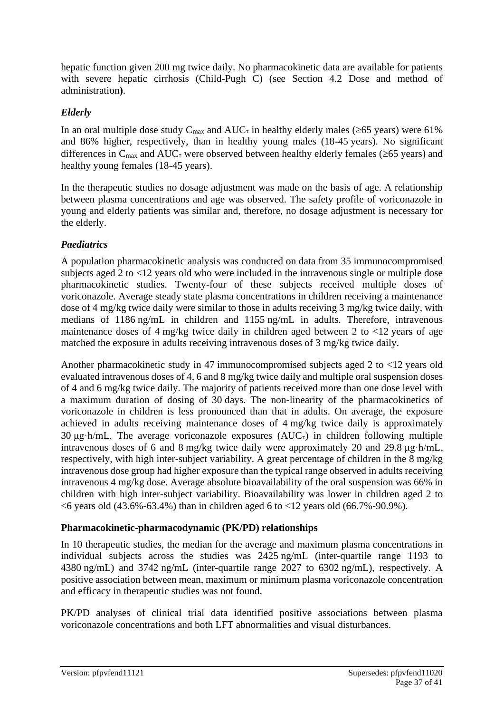hepatic function given 200 mg twice daily. No pharmacokinetic data are available for patients with severe hepatic cirrhosis (Child-Pugh C) (see Section 4.2 Dose and method of administration**)**.

# *Elderly*

In an oral multiple dose study  $C_{\text{max}}$  and  $AUC_{\tau}$  in healthy elderly males ( $\geq 65$  years) were 61% and 86% higher, respectively, than in healthy young males (18-45 years). No significant differences in  $C_{\text{max}}$  and  $AUC_{\tau}$  were observed between healthy elderly females ( $\geq 65$  years) and healthy young females (18-45 years).

In the therapeutic studies no dosage adjustment was made on the basis of age. A relationship between plasma concentrations and age was observed. The safety profile of voriconazole in young and elderly patients was similar and, therefore, no dosage adjustment is necessary for the elderly.

# *Paediatrics*

A population pharmacokinetic analysis was conducted on data from 35 immunocompromised subjects aged 2 to <12 years old who were included in the intravenous single or multiple dose pharmacokinetic studies. Twenty-four of these subjects received multiple doses of voriconazole. Average steady state plasma concentrations in children receiving a maintenance dose of 4 mg/kg twice daily were similar to those in adults receiving 3 mg/kg twice daily, with medians of 1186 ng/mL in children and 1155 ng/mL in adults. Therefore, intravenous maintenance doses of 4 mg/kg twice daily in children aged between 2 to  $\langle 12 \rangle$  years of age matched the exposure in adults receiving intravenous doses of 3 mg/kg twice daily.

Another pharmacokinetic study in 47 immunocompromised subjects aged 2 to <12 years old evaluated intravenous doses of 4, 6 and 8 mg/kg twice daily and multiple oral suspension doses of 4 and 6 mg/kg twice daily. The majority of patients received more than one dose level with a maximum duration of dosing of 30 days. The non-linearity of the pharmacokinetics of voriconazole in children is less pronounced than that in adults. On average, the exposure achieved in adults receiving maintenance doses of 4 mg/kg twice daily is approximately 30 μg·h/mL. The average voriconazole exposures  $(AUC_{\tau})$  in children following multiple intravenous doses of 6 and 8 mg/kg twice daily were approximately 20 and 29.8 μg·h/mL, respectively, with high inter-subject variability. A great percentage of children in the 8 mg/kg intravenous dose group had higher exposure than the typical range observed in adults receiving intravenous 4 mg/kg dose. Average absolute bioavailability of the oral suspension was 66% in children with high inter-subject variability. Bioavailability was lower in children aged 2 to <6 years old (43.6%-63.4%) than in children aged 6 to <12 years old (66.7%-90.9%).

# **Pharmacokinetic-pharmacodynamic (PK/PD) relationships**

In 10 therapeutic studies, the median for the average and maximum plasma concentrations in individual subjects across the studies was 2425 ng/mL (inter-quartile range 1193 to 4380 ng/mL) and 3742 ng/mL (inter-quartile range 2027 to 6302 ng/mL), respectively. A positive association between mean, maximum or minimum plasma voriconazole concentration and efficacy in therapeutic studies was not found.

PK/PD analyses of clinical trial data identified positive associations between plasma voriconazole concentrations and both LFT abnormalities and visual disturbances.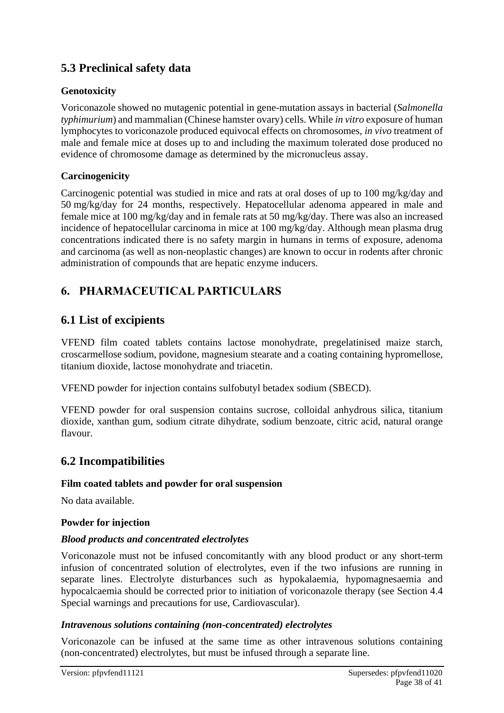# **5.3 Preclinical safety data**

# **Genotoxicity**

Voriconazole showed no mutagenic potential in gene-mutation assays in bacterial (*Salmonella typhimurium*) and mammalian (Chinese hamster ovary) cells. While *in vitro* exposure of human lymphocytes to voriconazole produced equivocal effects on chromosomes, *in vivo* treatment of male and female mice at doses up to and including the maximum tolerated dose produced no evidence of chromosome damage as determined by the micronucleus assay.

# **Carcinogenicity**

Carcinogenic potential was studied in mice and rats at oral doses of up to 100 mg/kg/day and 50 mg/kg/day for 24 months, respectively. Hepatocellular adenoma appeared in male and female mice at 100 mg/kg/day and in female rats at 50 mg/kg/day. There was also an increased incidence of hepatocellular carcinoma in mice at 100 mg/kg/day. Although mean plasma drug concentrations indicated there is no safety margin in humans in terms of exposure, adenoma and carcinoma (as well as non-neoplastic changes) are known to occur in rodents after chronic administration of compounds that are hepatic enzyme inducers.

# **6. PHARMACEUTICAL PARTICULARS**

# **6.1 List of excipients**

VFEND film coated tablets contains lactose monohydrate, pregelatinised maize starch, croscarmellose sodium, povidone, magnesium stearate and a coating containing hypromellose, titanium dioxide, lactose monohydrate and triacetin.

VFEND powder for injection contains sulfobutyl betadex sodium (SBECD).

VFEND powder for oral suspension contains sucrose, colloidal anhydrous silica, titanium dioxide, xanthan gum, sodium citrate dihydrate, sodium benzoate, citric acid, natural orange flavour.

# **6.2 Incompatibilities**

# **Film coated tablets and powder for oral suspension**

No data available.

# **Powder for injection**

# *Blood products and concentrated electrolytes*

Voriconazole must not be infused concomitantly with any blood product or any short-term infusion of concentrated solution of electrolytes, even if the two infusions are running in separate lines. Electrolyte disturbances such as hypokalaemia, hypomagnesaemia and hypocalcaemia should be corrected prior to initiation of voriconazole therapy (see Section 4.4 Special warnings and precautions for use, Cardiovascular).

#### *Intravenous solutions containing (non-concentrated) electrolytes*

Voriconazole can be infused at the same time as other intravenous solutions containing (non-concentrated) electrolytes, but must be infused through a separate line.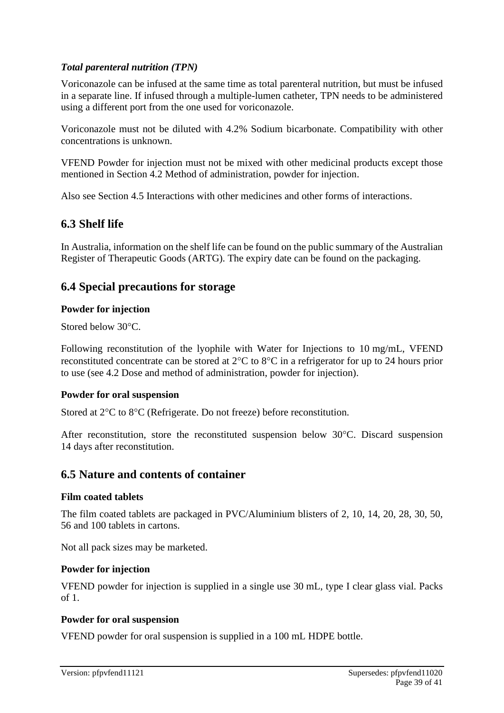# *Total parenteral nutrition (TPN)*

Voriconazole can be infused at the same time as total parenteral nutrition, but must be infused in a separate line. If infused through a multiple-lumen catheter, TPN needs to be administered using a different port from the one used for voriconazole.

Voriconazole must not be diluted with 4.2% Sodium bicarbonate. Compatibility with other concentrations is unknown.

VFEND Powder for injection must not be mixed with other medicinal products except those mentioned in Section 4.2 Method of administration, powder for injection.

Also see Section 4.5 Interactions with other medicines and other forms of interactions.

# **6.3 Shelf life**

In Australia, information on the shelf life can be found on the public summary of the Australian Register of Therapeutic Goods (ARTG). The expiry date can be found on the packaging.

# **6.4 Special precautions for storage**

#### **Powder for injection**

Stored below 30°C.

Following reconstitution of the lyophile with Water for Injections to 10 mg/mL, VFEND reconstituted concentrate can be stored at  $2^{\circ}C$  to  $8^{\circ}C$  in a refrigerator for up to 24 hours prior to use (see 4.2 Dose and method of administration, powder for injection).

# **Powder for oral suspension**

Stored at  $2^{\circ}$ C to  $8^{\circ}$ C (Refrigerate. Do not freeze) before reconstitution.

After reconstitution, store the reconstituted suspension below  $30^{\circ}$ C. Discard suspension 14 days after reconstitution.

# **6.5 Nature and contents of container**

#### **Film coated tablets**

The film coated tablets are packaged in PVC/Aluminium blisters of 2, 10, 14, 20, 28, 30, 50, 56 and 100 tablets in cartons.

Not all pack sizes may be marketed.

# **Powder for injection**

VFEND powder for injection is supplied in a single use 30 mL, type I clear glass vial. Packs of 1.

# **Powder for oral suspension**

VFEND powder for oral suspension is supplied in a 100 mL HDPE bottle.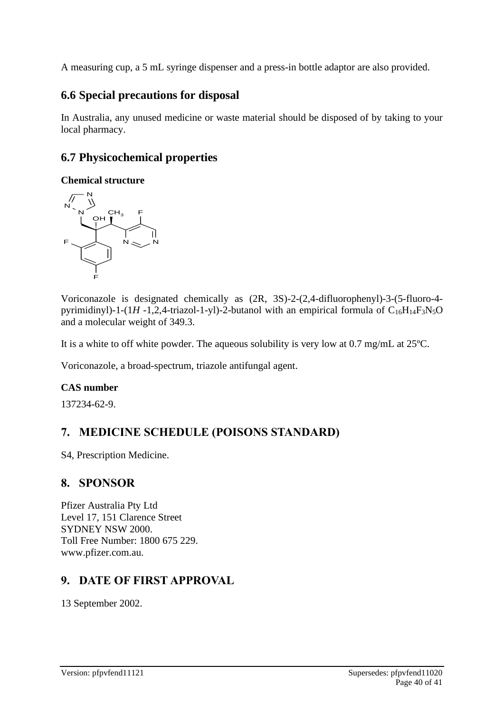A measuring cup, a 5 mL syringe dispenser and a press-in bottle adaptor are also provided.

# **6.6 Special precautions for disposal**

In Australia, any unused medicine or waste material should be disposed of by taking to your local pharmacy.

# **6.7 Physicochemical properties**

#### **Chemical structure**



Voriconazole is designated chemically as (2R, 3S)-2-(2,4-difluorophenyl)-3-(5-fluoro-4 pyrimidinyl)-1- $(1H - 1,2,4$ -triazol-1-yl)-2-butanol with an empirical formula of  $C_{16}H_{14}F_3N_5O$ and a molecular weight of 349.3.

It is a white to off white powder. The aqueous solubility is very low at 0.7 mg/mL at 25ºC.

Voriconazole, a broad-spectrum, triazole antifungal agent.

# **CAS number**

137234-62-9.

# **7. MEDICINE SCHEDULE (POISONS STANDARD)**

S4, Prescription Medicine.

# **8. SPONSOR**

Pfizer Australia Pty Ltd Level 17, 151 Clarence Street SYDNEY NSW 2000. Toll Free Number: 1800 675 229. www.pfizer.com.au.

# **9. DATE OF FIRST APPROVAL**

13 September 2002.